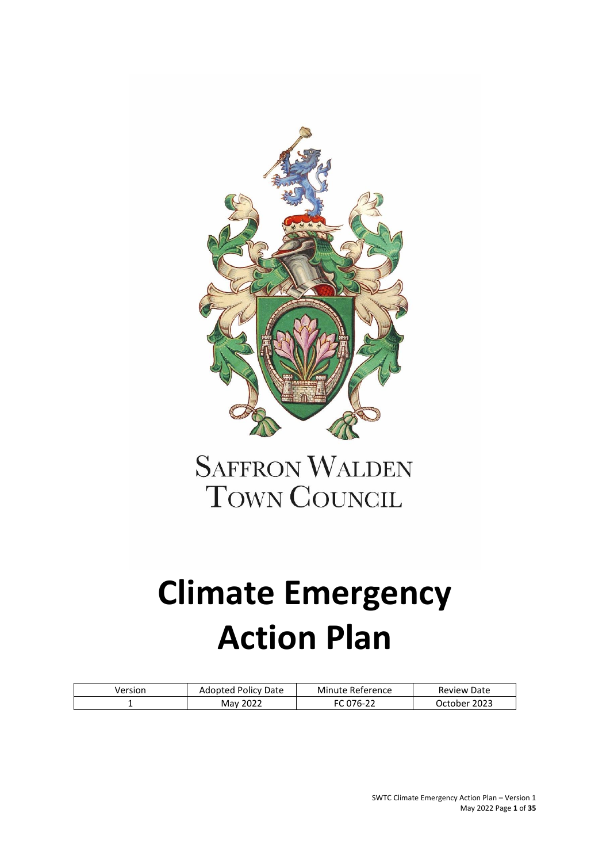

# **SAFFRON WALDEN TOWN COUNCIL**

# **Climate Emergency Action Plan**

| Version | Adopted Policy Date | Minute Reference    | <b>Review Date</b> |
|---------|---------------------|---------------------|--------------------|
|         | May 2022            | 076-22 <sup>.</sup> | October 2023       |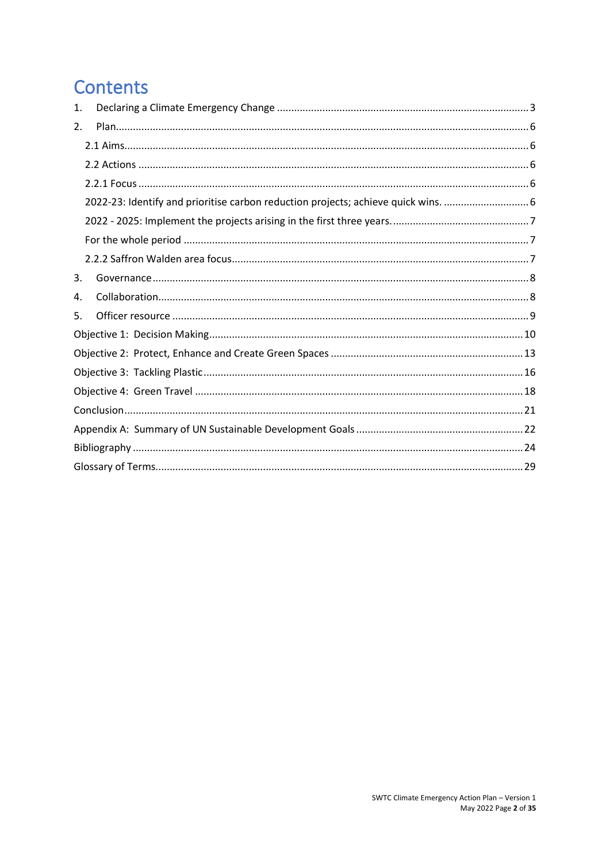# **Contents**

| 1. |                                                                                 |
|----|---------------------------------------------------------------------------------|
| 2. |                                                                                 |
|    |                                                                                 |
|    |                                                                                 |
|    |                                                                                 |
|    | 2022-23: Identify and prioritise carbon reduction projects; achieve quick wins. |
|    |                                                                                 |
|    |                                                                                 |
|    |                                                                                 |
| 3. |                                                                                 |
| 4. |                                                                                 |
| 5. |                                                                                 |
|    |                                                                                 |
|    |                                                                                 |
|    |                                                                                 |
|    |                                                                                 |
|    |                                                                                 |
|    |                                                                                 |
|    |                                                                                 |
|    |                                                                                 |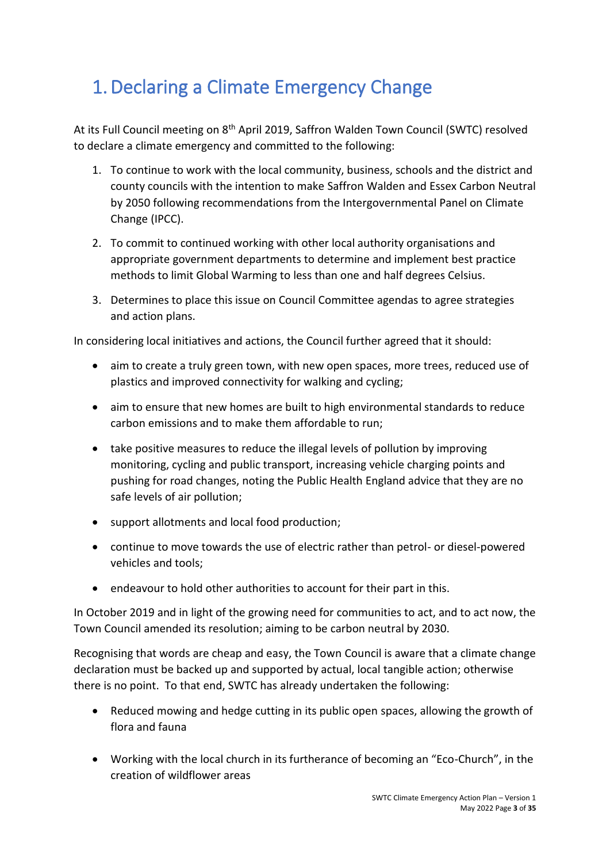# <span id="page-2-0"></span>1.Declaring a Climate Emergency Change

At its Full Council meeting on 8<sup>th</sup> April 2019, Saffron Walden Town Council (SWTC) resolved to declare a climate emergency and committed to the following:

- 1. To continue to work with the local community, business, schools and the district and county councils with the intention to make Saffron Walden and Essex Carbon Neutral by 2050 following recommendations from the Intergovernmental Panel on Climate Change (IPCC).
- 2. To commit to continued working with other local authority organisations and appropriate government departments to determine and implement best practice methods to limit Global Warming to less than one and half degrees Celsius.
- 3. Determines to place this issue on Council Committee agendas to agree strategies and action plans.

In considering local initiatives and actions, the Council further agreed that it should:

- aim to create a truly green town, with new open spaces, more trees, reduced use of plastics and improved connectivity for walking and cycling;
- aim to ensure that new homes are built to high environmental standards to reduce carbon emissions and to make them affordable to run;
- take positive measures to reduce the illegal levels of pollution by improving monitoring, cycling and public transport, increasing vehicle charging points and pushing for road changes, noting the Public Health England advice that they are no safe levels of air pollution;
- support allotments and local food production;
- continue to move towards the use of electric rather than petrol- or diesel-powered vehicles and tools;
- endeavour to hold other authorities to account for their part in this.

In October 2019 and in light of the growing need for communities to act, and to act now, the Town Council amended its resolution; aiming to be carbon neutral by 2030.

Recognising that words are cheap and easy, the Town Council is aware that a climate change declaration must be backed up and supported by actual, local tangible action; otherwise there is no point. To that end, SWTC has already undertaken the following:

- Reduced mowing and hedge cutting in its public open spaces, allowing the growth of flora and fauna
- Working with the local church in its furtherance of becoming an "Eco-Church", in the creation of wildflower areas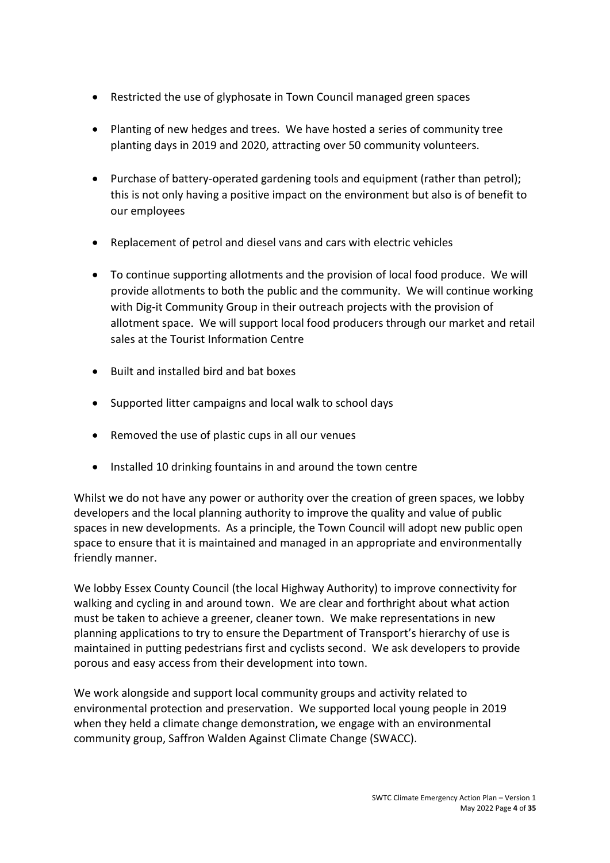- Restricted the use of glyphosate in Town Council managed green spaces
- Planting of new hedges and trees. We have hosted a series of community tree planting days in 2019 and 2020, attracting over 50 community volunteers.
- Purchase of battery-operated gardening tools and equipment (rather than petrol); this is not only having a positive impact on the environment but also is of benefit to our employees
- Replacement of petrol and diesel vans and cars with electric vehicles
- To continue supporting allotments and the provision of local food produce. We will provide allotments to both the public and the community. We will continue working with Dig-it Community Group in their outreach projects with the provision of allotment space. We will support local food producers through our market and retail sales at the Tourist Information Centre
- Built and installed bird and bat boxes
- Supported litter campaigns and local walk to school days
- Removed the use of plastic cups in all our venues
- Installed 10 drinking fountains in and around the town centre

Whilst we do not have any power or authority over the creation of green spaces, we lobby developers and the local planning authority to improve the quality and value of public spaces in new developments. As a principle, the Town Council will adopt new public open space to ensure that it is maintained and managed in an appropriate and environmentally friendly manner.

We lobby Essex County Council (the local Highway Authority) to improve connectivity for walking and cycling in and around town. We are clear and forthright about what action must be taken to achieve a greener, cleaner town. We make representations in new planning applications to try to ensure the Department of Transport's hierarchy of use is maintained in putting pedestrians first and cyclists second. We ask developers to provide porous and easy access from their development into town.

We work alongside and support local community groups and activity related to environmental protection and preservation. We supported local young people in 2019 when they held a climate change demonstration, we engage with an environmental community group, Saffron Walden Against Climate Change (SWACC).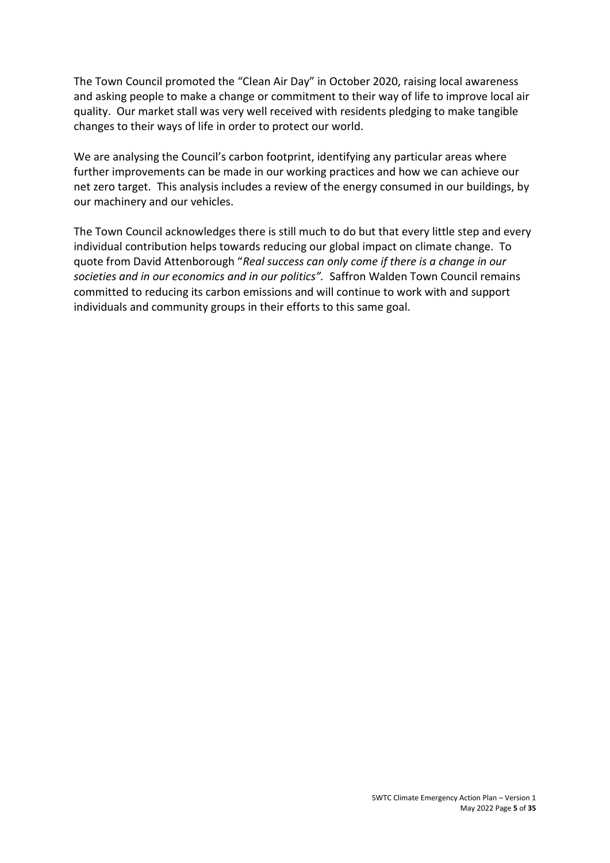The Town Council promoted the "Clean Air Day" in October 2020, raising local awareness and asking people to make a change or commitment to their way of life to improve local air quality. Our market stall was very well received with residents pledging to make tangible changes to their ways of life in order to protect our world.

We are analysing the Council's carbon footprint, identifying any particular areas where further improvements can be made in our working practices and how we can achieve our net zero target. This analysis includes a review of the energy consumed in our buildings, by our machinery and our vehicles.

The Town Council acknowledges there is still much to do but that every little step and every individual contribution helps towards reducing our global impact on climate change. To quote from David Attenborough "*Real success can only come if there is a change in our societies and in our economics and in our politics".* Saffron Walden Town Council remains committed to reducing its carbon emissions and will continue to work with and support individuals and community groups in their efforts to this same goal.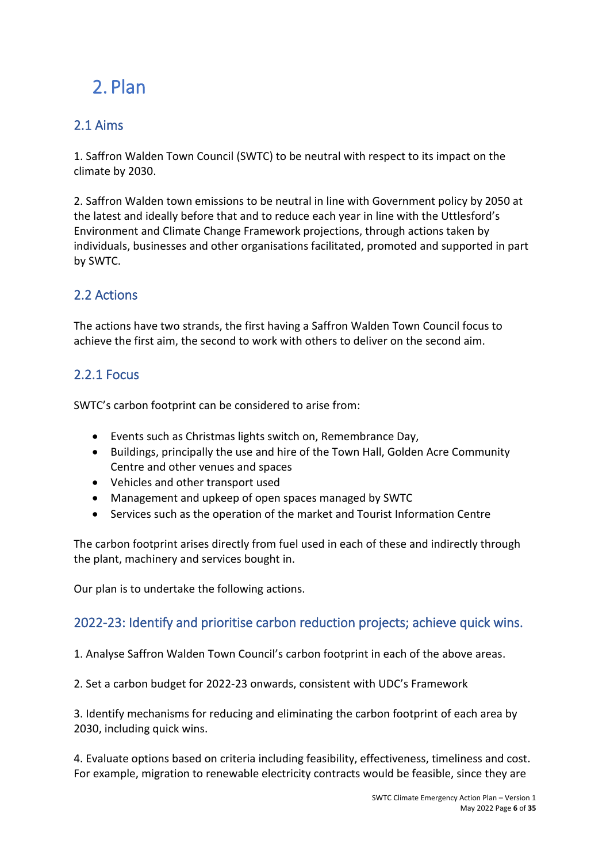# <span id="page-5-0"></span>2. Plan

### <span id="page-5-1"></span>2.1 Aims

1. Saffron Walden Town Council (SWTC) to be neutral with respect to its impact on the climate by 2030.

2. Saffron Walden town emissions to be neutral in line with Government policy by 2050 at the latest and ideally before that and to reduce each year in line with the Uttlesford's Environment and Climate Change Framework projections, through actions taken by individuals, businesses and other organisations facilitated, promoted and supported in part by SWTC.

### <span id="page-5-2"></span>2.2 Actions

The actions have two strands, the first having a Saffron Walden Town Council focus to achieve the first aim, the second to work with others to deliver on the second aim.

### <span id="page-5-3"></span>2.2.1 Focus

SWTC's carbon footprint can be considered to arise from:

- Events such as Christmas lights switch on, Remembrance Day,
- Buildings, principally the use and hire of the Town Hall, Golden Acre Community Centre and other venues and spaces
- Vehicles and other transport used
- Management and upkeep of open spaces managed by SWTC
- Services such as the operation of the market and Tourist Information Centre

The carbon footprint arises directly from fuel used in each of these and indirectly through the plant, machinery and services bought in.

Our plan is to undertake the following actions.

### <span id="page-5-4"></span>2022-23: Identify and prioritise carbon reduction projects; achieve quick wins.

1. Analyse Saffron Walden Town Council's carbon footprint in each of the above areas.

2. Set a carbon budget for 2022-23 onwards, consistent with UDC's Framework

3. Identify mechanisms for reducing and eliminating the carbon footprint of each area by 2030, including quick wins.

4. Evaluate options based on criteria including feasibility, effectiveness, timeliness and cost. For example, migration to renewable electricity contracts would be feasible, since they are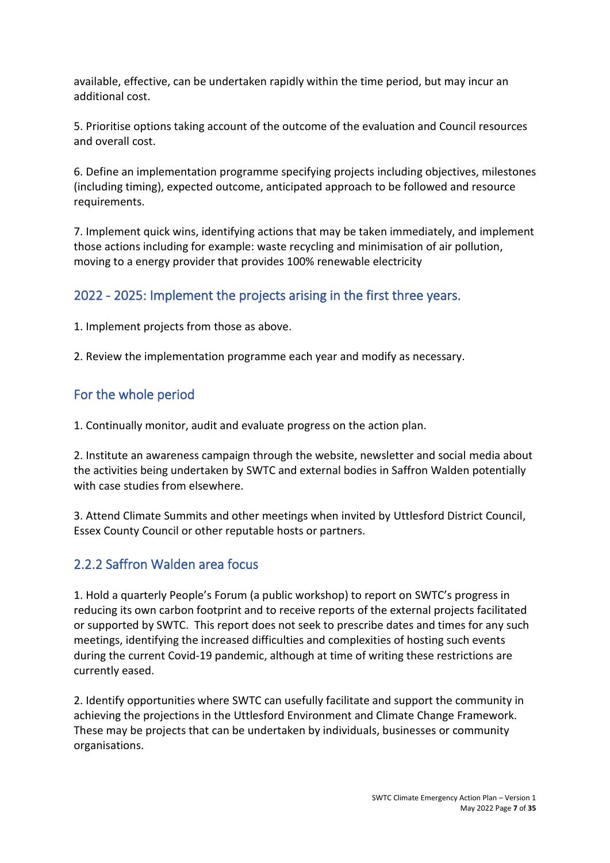available, effective, can be undertaken rapidly within the time period, but may incur an additional cost.

5. Prioritise options taking account of the outcome of the evaluation and Council resources and overall cost.

6. Define an implementation programme specifying projects including objectives, milestones (including timing), expected outcome, anticipated approach to be followed and resource requirements.

7. Implement quick wins, identifying actions that may be taken immediately, and implement those actions including for example: waste recycling and minimisation of air pollution, moving to a energy provider that provides 100% renewable electricity

### <span id="page-6-0"></span>2022 - 2025: Implement the projects arising in the first three years.

1. Implement projects from those as above.

2. Review the implementation programme each year and modify as necessary.

### <span id="page-6-1"></span>For the whole period

1. Continually monitor, audit and evaluate progress on the action plan.

2. Institute an awareness campaign through the website, newsletter and social media about the activities being undertaken by SWTC and external bodies in Saffron Walden potentially with case studies from elsewhere.

3. Attend Climate Summits and other meetings when invited by Uttlesford District Council, Essex County Council or other reputable hosts or partners.

### <span id="page-6-2"></span>2.2.2 Saffron Walden area focus

1. Hold a quarterly People's Forum (a public workshop) to report on SWTC's progress in reducing its own carbon footprint and to receive reports of the external projects facilitated or supported by SWTC. This report does not seek to prescribe dates and times for any such meetings, identifying the increased difficulties and complexities of hosting such events during the current Covid-19 pandemic, although at time of writing these restrictions are currently eased.

2. Identify opportunities where SWTC can usefully facilitate and support the community in achieving the projections in the Uttlesford Environment and Climate Change Framework. These may be projects that can be undertaken by individuals, businesses or community organisations.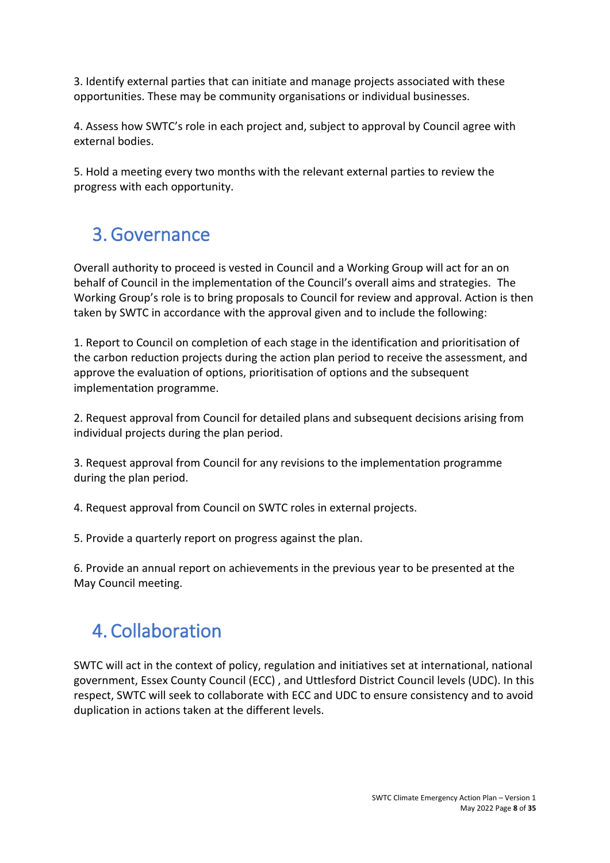3. Identify external parties that can initiate and manage projects associated with these opportunities. These may be community organisations or individual businesses.

4. Assess how SWTC's role in each project and, subject to approval by Council agree with external bodies.

5. Hold a meeting every two months with the relevant external parties to review the progress with each opportunity.

# <span id="page-7-0"></span>3.Governance

Overall authority to proceed is vested in Council and a Working Group will act for an on behalf of Council in the implementation of the Council's overall aims and strategies. The Working Group's role is to bring proposals to Council for review and approval. Action is then taken by SWTC in accordance with the approval given and to include the following:

1. Report to Council on completion of each stage in the identification and prioritisation of the carbon reduction projects during the action plan period to receive the assessment, and approve the evaluation of options, prioritisation of options and the subsequent implementation programme.

2. Request approval from Council for detailed plans and subsequent decisions arising from individual projects during the plan period.

3. Request approval from Council for any revisions to the implementation programme during the plan period.

4. Request approval from Council on SWTC roles in external projects.

5. Provide a quarterly report on progress against the plan.

6. Provide an annual report on achievements in the previous year to be presented at the May Council meeting.

# <span id="page-7-1"></span>4. Collaboration

SWTC will act in the context of policy, regulation and initiatives set at international, national government, Essex County Council (ECC) , and Uttlesford District Council levels (UDC). In this respect, SWTC will seek to collaborate with ECC and UDC to ensure consistency and to avoid duplication in actions taken at the different levels.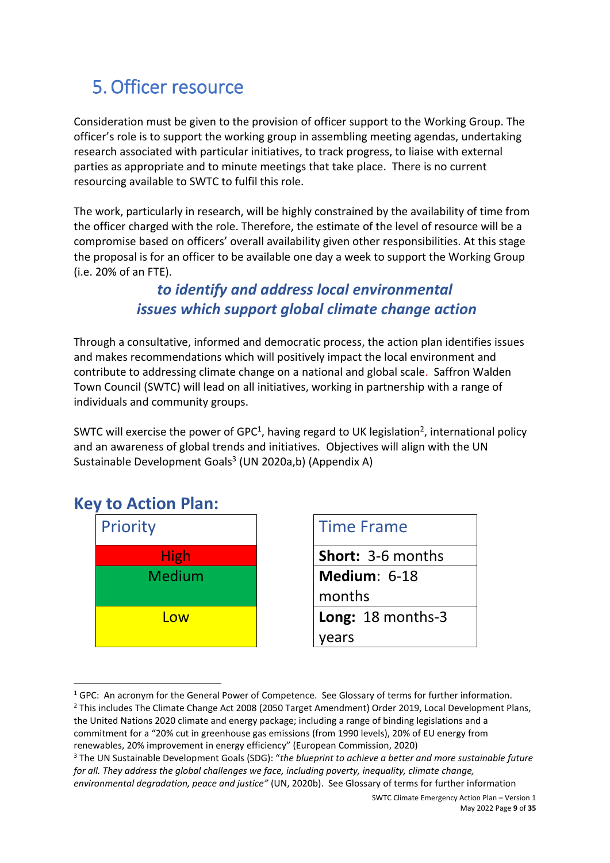# <span id="page-8-0"></span>5.Officer resource

Consideration must be given to the provision of officer support to the Working Group. The officer's role is to support the working group in assembling meeting agendas, undertaking research associated with particular initiatives, to track progress, to liaise with external parties as appropriate and to minute meetings that take place. There is no current resourcing available to SWTC to fulfil this role.

The work, particularly in research, will be highly constrained by the availability of time from the officer charged with the role. Therefore, the estimate of the level of resource will be a compromise based on officers' overall availability given other responsibilities. At this stage the proposal is for an officer to be available one day a week to support the Working Group (i.e. 20% of an FTE).

### *to identify and address local environmental issues which support global climate change action*

Through a consultative, informed and democratic process, the action plan identifies issues and makes recommendations which will positively impact the local environment and contribute to addressing climate change on a national and global scale. Saffron Walden Town Council (SWTC) will lead on all initiatives, working in partnership with a range of individuals and community groups.

SWTC will exercise the power of GPC<sup>1</sup>, having regard to UK legislation<sup>2</sup>, international policy and an awareness of global trends and initiatives. Objectives will align with the UN Sustainable Development Goals<sup>3</sup> (UN 2020a,b) (Appendix A)

### **Key to Action Plan:**



|             | <b>Time Frame</b> |
|-------------|-------------------|
| <b>High</b> | Short: 3-6 months |
| edium       | Medium: 6-18      |
|             | months            |
| l ow        | Long: 18 months-3 |
|             | years             |
|             |                   |

 $1$  GPC: An acronym for the General Power of Competence. See Glossary of terms for further information. <sup>2</sup> This includes The Climate Change Act 2008 (2050 Target Amendment) Order 2019, Local Development Plans, the United Nations 2020 climate and energy package; including a range of binding legislations and a commitment for a "20% cut in greenhouse gas emissions (from 1990 levels), 20% of EU energy from renewables, 20% improvement in energy efficiency" (European Commission, 2020)

<sup>3</sup> The UN Sustainable Development Goals (SDG): "*the blueprint to achieve a better and more sustainable future for all. They address the global challenges we face, including poverty, inequality, climate change, environmental degradation, peace and justice"* (UN, 2020b). See Glossary of terms for further information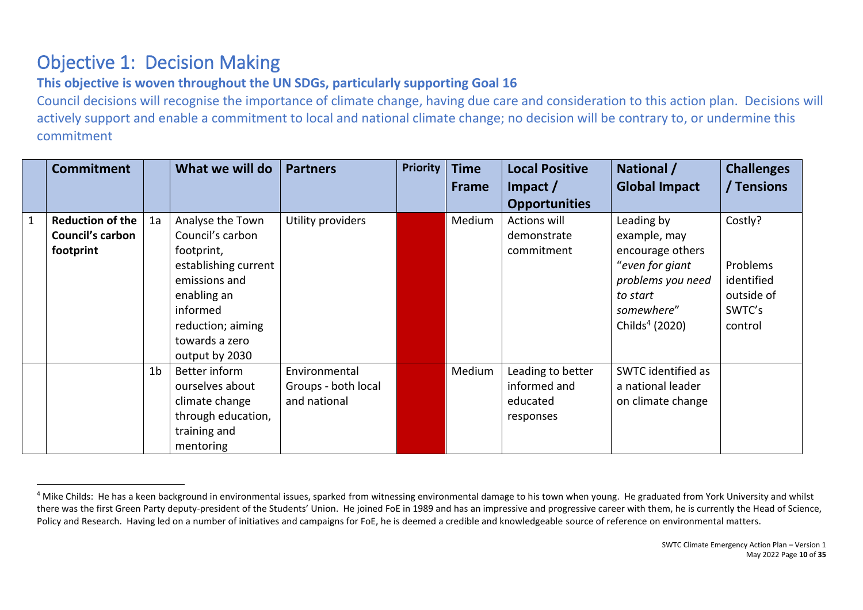# Objective 1: Decision Making

### **This objective is woven throughout the UN SDGs, particularly supporting Goal 16**

Council decisions will recognise the importance of climate change, having due care and consideration to this action plan. Decisions will actively support and enable a commitment to local and national climate change; no decision will be contrary to, or undermine this commitment

<span id="page-9-0"></span>

| <b>Commitment</b>                                               |                | What we will do                                                                                                                                                                 | <b>Partners</b>                                      | <b>Priority</b> | <b>Time</b><br>Frame | <b>Local Positive</b><br>Impact $/$<br><b>Opportunities</b> | National /<br><b>Global Impact</b>                                                                                                             | <b>Challenges</b><br>/ Tensions                                      |
|-----------------------------------------------------------------|----------------|---------------------------------------------------------------------------------------------------------------------------------------------------------------------------------|------------------------------------------------------|-----------------|----------------------|-------------------------------------------------------------|------------------------------------------------------------------------------------------------------------------------------------------------|----------------------------------------------------------------------|
| <b>Reduction of the</b><br><b>Council's carbon</b><br>footprint | 1a             | Analyse the Town<br>Council's carbon<br>footprint,<br>establishing current<br>emissions and<br>enabling an<br>informed<br>reduction; aiming<br>towards a zero<br>output by 2030 | Utility providers                                    |                 | Medium               | <b>Actions will</b><br>demonstrate<br>commitment            | Leading by<br>example, may<br>encourage others<br>"even for giant<br>problems you need<br>to start<br>somewhere"<br>Childs <sup>4</sup> (2020) | Costly?<br>Problems<br>identified<br>outside of<br>SWTC's<br>control |
|                                                                 | 1 <sub>b</sub> | Better inform<br>ourselves about<br>climate change<br>through education,<br>training and<br>mentoring                                                                           | Environmental<br>Groups - both local<br>and national |                 | Medium               | Leading to better<br>informed and<br>educated<br>responses  | SWTC identified as<br>a national leader<br>on climate change                                                                                   |                                                                      |

<sup>&</sup>lt;sup>4</sup> Mike Childs: He has a keen background in environmental issues, sparked from witnessing environmental damage to his town when young. He graduated from York University and whilst there was the first Green Party deputy-president of the Students' Union. He joined FoE in 1989 and has an impressive and progressive career with them, he is currently the Head of Science, Policy and Research. Having led on a number of initiatives and campaigns for FoE, he is deemed a credible and knowledgeable source of reference on environmental matters.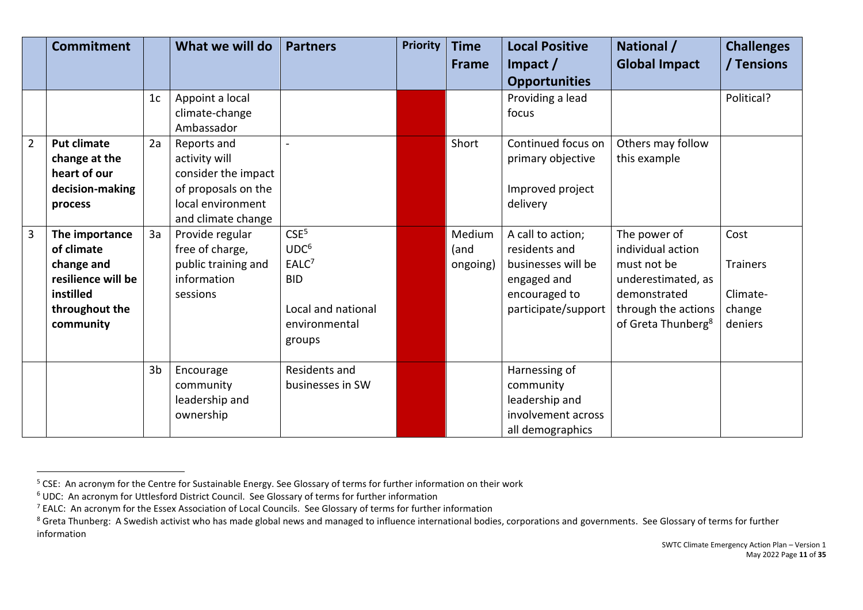|                | <b>Commitment</b>  |                | What we will do     | <b>Partners</b>    | <b>Priority</b> | <b>Time</b>  | <b>Local Positive</b> | National /                     | <b>Challenges</b> |
|----------------|--------------------|----------------|---------------------|--------------------|-----------------|--------------|-----------------------|--------------------------------|-------------------|
|                |                    |                |                     |                    |                 | <b>Frame</b> | Impact $/$            | <b>Global Impact</b>           | / Tensions        |
|                |                    |                |                     |                    |                 |              | <b>Opportunities</b>  |                                |                   |
|                |                    | 1 <sub>c</sub> | Appoint a local     |                    |                 |              | Providing a lead      |                                | Political?        |
|                |                    |                | climate-change      |                    |                 |              | focus                 |                                |                   |
|                |                    |                | Ambassador          |                    |                 |              |                       |                                |                   |
| $\overline{2}$ | <b>Put climate</b> | 2a             | Reports and         |                    |                 | Short        | Continued focus on    | Others may follow              |                   |
|                | change at the      |                | activity will       |                    |                 |              | primary objective     | this example                   |                   |
|                | heart of our       |                | consider the impact |                    |                 |              |                       |                                |                   |
|                | decision-making    |                | of proposals on the |                    |                 |              | Improved project      |                                |                   |
|                | process            |                | local environment   |                    |                 |              | delivery              |                                |                   |
|                |                    |                | and climate change  |                    |                 |              |                       |                                |                   |
| 3              | The importance     | 3a             | Provide regular     | CSE <sup>5</sup>   |                 | Medium       | A call to action;     | The power of                   | Cost              |
|                | of climate         |                | free of charge,     | UDC <sup>6</sup>   |                 | (and         | residents and         | individual action              |                   |
|                | change and         |                | public training and | EALC <sup>7</sup>  |                 | ongoing)     | businesses will be    | must not be                    | <b>Trainers</b>   |
|                | resilience will be |                | information         | <b>BID</b>         |                 |              | engaged and           | underestimated, as             |                   |
|                | instilled          |                | sessions            |                    |                 |              | encouraged to         | demonstrated                   | Climate-          |
|                | throughout the     |                |                     | Local and national |                 |              | participate/support   | through the actions            | change            |
|                | community          |                |                     | environmental      |                 |              |                       | of Greta Thunberg <sup>8</sup> | deniers           |
|                |                    |                |                     | groups             |                 |              |                       |                                |                   |
|                |                    |                |                     |                    |                 |              |                       |                                |                   |
|                |                    | 3 <sub>b</sub> | Encourage           | Residents and      |                 |              | Harnessing of         |                                |                   |
|                |                    |                | community           | businesses in SW   |                 |              | community             |                                |                   |
|                |                    |                | leadership and      |                    |                 |              | leadership and        |                                |                   |
|                |                    |                | ownership           |                    |                 |              | involvement across    |                                |                   |
|                |                    |                |                     |                    |                 |              | all demographics      |                                |                   |

<sup>&</sup>lt;sup>5</sup> CSE: An acronym for the Centre for Sustainable Energy. See Glossary of terms for further information on their work

<sup>6</sup> UDC: An acronym for Uttlesford District Council. See Glossary of terms for further information

<sup>7</sup> EALC: An acronym for the Essex Association of Local Councils. See Glossary of terms for further information

<sup>&</sup>lt;sup>8</sup> Greta Thunberg: A Swedish activist who has made global news and managed to influence international bodies, corporations and governments. See Glossary of terms for further information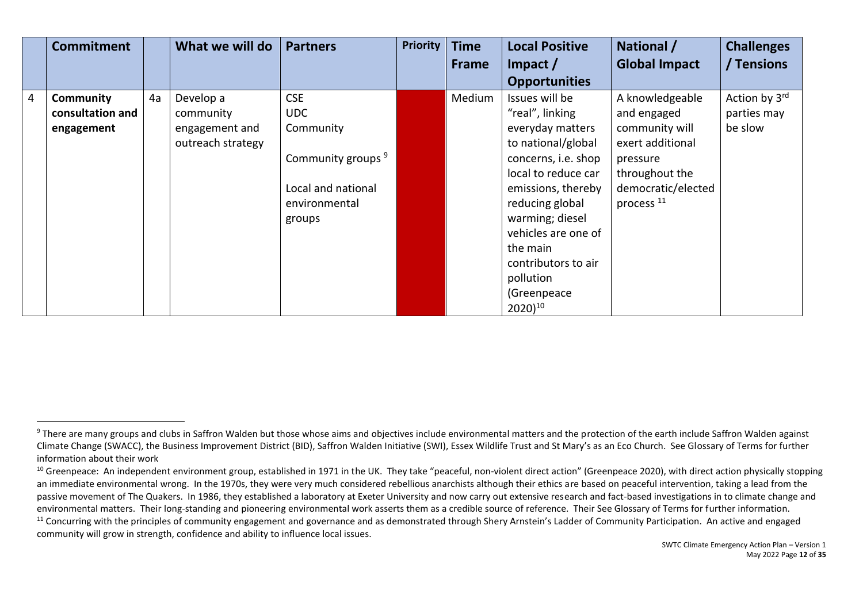|                | <b>Commitment</b> |    | What we will do   | <b>Partners</b>               | <b>Priority</b> | <b>Time</b>  | <b>Local Positive</b> | National /            | <b>Challenges</b> |
|----------------|-------------------|----|-------------------|-------------------------------|-----------------|--------------|-----------------------|-----------------------|-------------------|
|                |                   |    |                   |                               |                 | <b>Frame</b> | Impact $/$            | <b>Global Impact</b>  | / Tensions        |
|                |                   |    |                   |                               |                 |              | <b>Opportunities</b>  |                       |                   |
| $\overline{4}$ | Community         | 4a | Develop a         | <b>CSE</b>                    |                 | Medium       | Issues will be        | A knowledgeable       | Action by 3rd     |
|                | consultation and  |    | community         | <b>UDC</b>                    |                 |              | "real", linking       | and engaged           | parties may       |
|                | engagement        |    | engagement and    | Community                     |                 |              | everyday matters      | community will        | be slow           |
|                |                   |    | outreach strategy |                               |                 |              | to national/global    | exert additional      |                   |
|                |                   |    |                   | Community groups <sup>9</sup> |                 |              | concerns, i.e. shop   | pressure              |                   |
|                |                   |    |                   |                               |                 |              | local to reduce car   | throughout the        |                   |
|                |                   |    |                   | Local and national            |                 |              | emissions, thereby    | democratic/elected    |                   |
|                |                   |    |                   | environmental                 |                 |              | reducing global       | process <sup>11</sup> |                   |
|                |                   |    |                   | groups                        |                 |              | warming; diesel       |                       |                   |
|                |                   |    |                   |                               |                 |              | vehicles are one of   |                       |                   |
|                |                   |    |                   |                               |                 |              | the main              |                       |                   |
|                |                   |    |                   |                               |                 |              | contributors to air   |                       |                   |
|                |                   |    |                   |                               |                 |              | pollution             |                       |                   |
|                |                   |    |                   |                               |                 |              | (Greenpeace           |                       |                   |
|                |                   |    |                   |                               |                 |              | $2020)$ <sup>10</sup> |                       |                   |

<sup>&</sup>lt;sup>9</sup> There are many groups and clubs in Saffron Walden but those whose aims and objectives include environmental matters and the protection of the earth include Saffron Walden against Climate Change (SWACC), the Business Improvement District (BID), Saffron Walden Initiative (SWI), Essex Wildlife Trust and St Mary's as an Eco Church. See Glossary of Terms for further information about their work

 $10$  Greenpeace: An independent environment group, established in 1971 in the UK. They take "peaceful, non-violent direct action" (Greenpeace 2020), with direct action physically stopping an immediate environmental wrong. In the 1970s, they were very much considered rebellious anarchists although their ethics are based on peaceful intervention, taking a lead from the passive movement of The Quakers. In 1986, they established a laboratory at Exeter University and now carry out extensive research and fact-based investigations in to climate change and environmental matters. Their long-standing and pioneering environmental work asserts them as a credible source of reference. Their See Glossary of Terms for further information.

<sup>&</sup>lt;sup>11</sup> Concurring with the principles of community engagement and governance and as demonstrated through Shery Arnstein's Ladder of Community Participation. An active and engaged community will grow in strength, confidence and ability to influence local issues.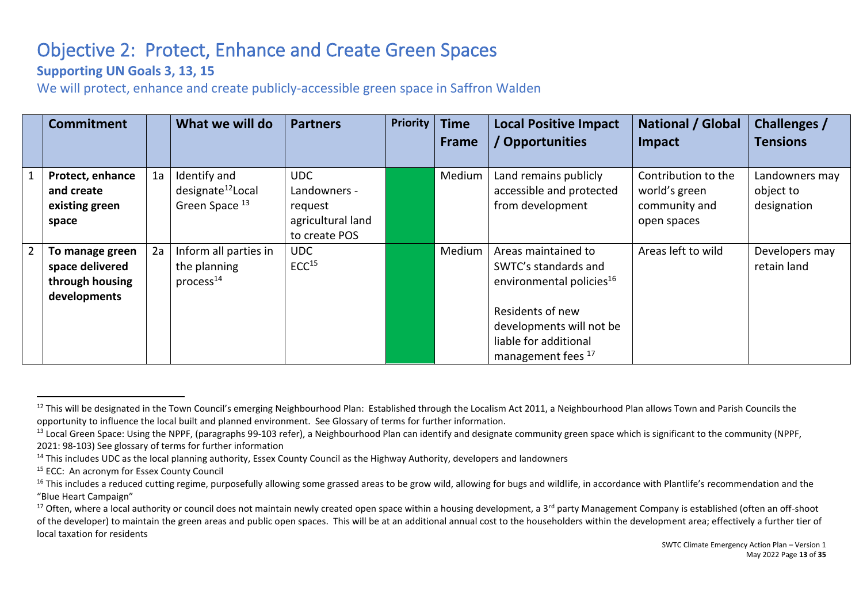# Objective 2: Protect, Enhance and Create Green Spaces

### **Supporting UN Goals 3, 13, 15**

We will protect, enhance and create publicly-accessible green space in Saffron Walden

|                | <b>Commitment</b>                                                     |    | What we will do                                                 | <b>Partners</b>                                                             | <b>Priority</b> | <b>Time</b><br>Frame | <b>Local Positive Impact</b><br>/ Opportunities                                                                                                                                    | <b>National / Global</b><br>Impact                                   | <b>Challenges /</b><br><b>Tensions</b>     |
|----------------|-----------------------------------------------------------------------|----|-----------------------------------------------------------------|-----------------------------------------------------------------------------|-----------------|----------------------|------------------------------------------------------------------------------------------------------------------------------------------------------------------------------------|----------------------------------------------------------------------|--------------------------------------------|
|                | Protect, enhance<br>and create<br>existing green<br>space             | 1a | Identify and<br>designate <sup>12</sup> Local<br>Green Space 13 | <b>UDC</b><br>Landowners -<br>request<br>agricultural land<br>to create POS |                 | Medium               | Land remains publicly<br>accessible and protected<br>from development                                                                                                              | Contribution to the<br>world's green<br>community and<br>open spaces | Landowners may<br>object to<br>designation |
| $\overline{2}$ | To manage green<br>space delivered<br>through housing<br>developments | 2a | Inform all parties in<br>the planning<br>process <sup>14</sup>  | <b>UDC</b><br>ECC <sup>15</sup>                                             |                 | Medium               | Areas maintained to<br>SWTC's standards and<br>environmental policies <sup>16</sup><br>Residents of new<br>developments will not be<br>liable for additional<br>management fees 17 | Areas left to wild                                                   | Developers may<br>retain land              |

<span id="page-12-0"></span><sup>&</sup>lt;sup>12</sup> This will be designated in the Town Council's emerging Neighbourhood Plan: Established through the Localism Act 2011, a Neighbourhood Plan allows Town and Parish Councils the opportunity to influence the local built and planned environment. See Glossary of terms for further information.

<sup>&</sup>lt;sup>13</sup> Local Green Space: Using the NPPF, (paragraphs 99-103 refer), a Neighbourhood Plan can identify and designate community green space which is significant to the community (NPPF, 2021: 98-103) See glossary of terms for further information

<sup>&</sup>lt;sup>14</sup> This includes UDC as the local planning authority, Essex County Council as the Highway Authority, developers and landowners

<sup>&</sup>lt;sup>15</sup> ECC: An acronym for Essex County Council

<sup>&</sup>lt;sup>16</sup> This includes a reduced cutting regime, purposefully allowing some grassed areas to be grow wild, allowing for bugs and wildlife, in accordance with Plantlife's recommendation and the "Blue Heart Campaign"

<sup>&</sup>lt;sup>17</sup> Often, where a local authority or council does not maintain newly created open space within a housing development, a 3<sup>rd</sup> party Management Company is established (often an off-shoot of the developer) to maintain the green areas and public open spaces. This will be at an additional annual cost to the householders within the development area; effectively a further tier of local taxation for residents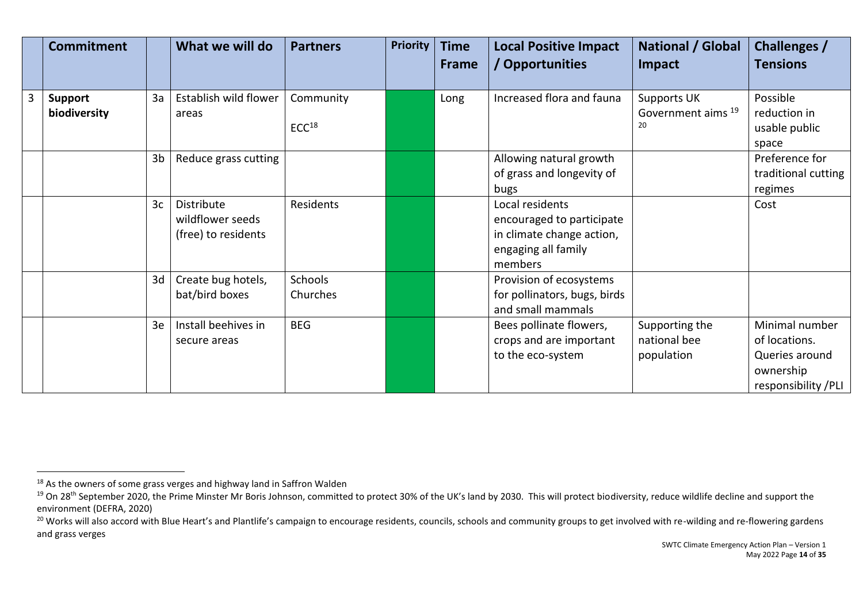| <b>Commitment</b>              |                | What we will do                                       | <b>Partners</b>                | <b>Priority</b> | <b>Time</b><br><b>Frame</b> | <b>Local Positive Impact</b><br>/ Opportunities                                                             | <b>National / Global</b><br><b>Impact</b>          | Challenges /<br><b>Tensions</b>                                                       |
|--------------------------------|----------------|-------------------------------------------------------|--------------------------------|-----------------|-----------------------------|-------------------------------------------------------------------------------------------------------------|----------------------------------------------------|---------------------------------------------------------------------------------------|
| <b>Support</b><br>biodiversity | 3a             | Establish wild flower<br>areas                        | Community<br>ECC <sup>18</sup> |                 | Long                        | Increased flora and fauna                                                                                   | Supports UK<br>Government aims <sup>19</sup><br>20 | Possible<br>reduction in<br>usable public<br>space                                    |
|                                | 3 <sub>b</sub> | Reduce grass cutting                                  |                                |                 |                             | Allowing natural growth<br>of grass and longevity of<br>bugs                                                |                                                    | Preference for<br>traditional cutting<br>regimes                                      |
|                                | 3c             | Distribute<br>wildflower seeds<br>(free) to residents | Residents                      |                 |                             | Local residents<br>encouraged to participate<br>in climate change action,<br>engaging all family<br>members |                                                    | Cost                                                                                  |
|                                | 3d             | Create bug hotels,<br>bat/bird boxes                  | Schools<br>Churches            |                 |                             | Provision of ecosystems<br>for pollinators, bugs, birds<br>and small mammals                                |                                                    |                                                                                       |
|                                | 3e             | Install beehives in<br>secure areas                   | <b>BEG</b>                     |                 |                             | Bees pollinate flowers,<br>crops and are important<br>to the eco-system                                     | Supporting the<br>national bee<br>population       | Minimal number<br>of locations.<br>Queries around<br>ownership<br>responsibility /PLI |

<sup>&</sup>lt;sup>18</sup> As the owners of some grass verges and highway land in Saffron Walden

<sup>&</sup>lt;sup>19</sup> On 28<sup>th</sup> September 2020, the Prime Minster Mr Boris Johnson, committed to protect 30% of the UK's land by 2030. This will protect biodiversity, reduce wildlife decline and support the environment (DEFRA, 2020)

<sup>&</sup>lt;sup>20</sup> Works will also accord with Blue Heart's and Plantlife's campaign to encourage residents, councils, schools and community groups to get involved with re-wilding and re-flowering gardens and grass verges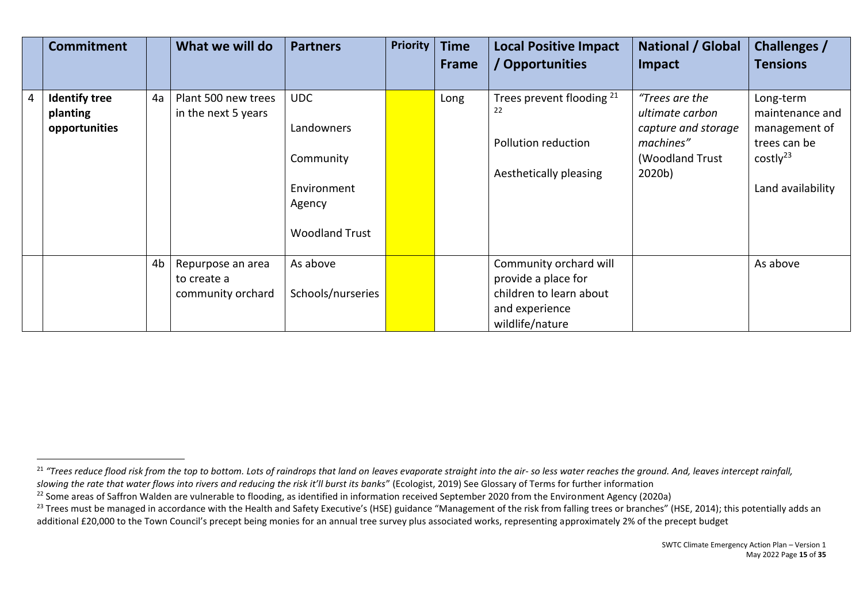|                | <b>Commitment</b>                                 |    | What we will do                                       | <b>Partners</b>                                                                         | <b>Priority</b> | <b>Time</b><br><b>Frame</b> | <b>Local Positive Impact</b><br>/ Opportunities                                                               | <b>National / Global</b><br>Impact                                                                 | Challenges /<br><b>Tensions</b>                                                                            |
|----------------|---------------------------------------------------|----|-------------------------------------------------------|-----------------------------------------------------------------------------------------|-----------------|-----------------------------|---------------------------------------------------------------------------------------------------------------|----------------------------------------------------------------------------------------------------|------------------------------------------------------------------------------------------------------------|
| $\overline{4}$ | <b>Identify tree</b><br>planting<br>opportunities | 4a | Plant 500 new trees<br>in the next 5 years            | <b>UDC</b><br>Landowners<br>Community<br>Environment<br>Agency<br><b>Woodland Trust</b> |                 | Long                        | Trees prevent flooding <sup>21</sup><br>22<br>Pollution reduction<br>Aesthetically pleasing                   | "Trees are the<br>ultimate carbon<br>capture and storage<br>machines"<br>(Woodland Trust<br>2020b) | Long-term<br>maintenance and<br>management of<br>trees can be<br>costly <sup>23</sup><br>Land availability |
|                |                                                   | 4b | Repurpose an area<br>to create a<br>community orchard | As above<br>Schools/nurseries                                                           |                 |                             | Community orchard will<br>provide a place for<br>children to learn about<br>and experience<br>wildlife/nature |                                                                                                    | As above                                                                                                   |

<sup>&</sup>lt;sup>21</sup> "Trees reduce flood risk from the top to bottom. Lots of raindrops that land on leaves evaporate straight into the air- so less water reaches the ground. And, leaves intercept rainfall, *slowing the rate that water flows into rivers and reducing the risk it'll burst its banks*" (Ecologist, 2019) See Glossary of Terms for further information

<sup>&</sup>lt;sup>22</sup> Some areas of Saffron Walden are vulnerable to flooding, as identified in information received September 2020 from the Environment Agency (2020a)

<sup>&</sup>lt;sup>23</sup> Trees must be managed in accordance with the Health and Safety Executive's (HSE) guidance "Management of the risk from falling trees or branches" (HSE, 2014); this potentially adds an additional £20,000 to the Town Council's precept being monies for an annual tree survey plus associated works, representing approximately 2% of the precept budget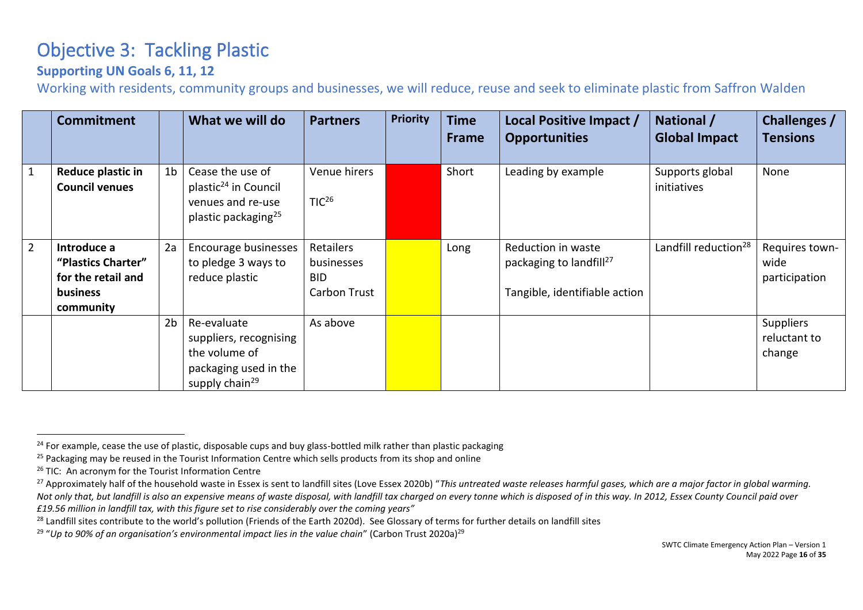# Objective 3: Tackling Plastic

### **Supporting UN Goals 6, 11, 12**

Working with residents, community groups and businesses, we will reduce, reuse and seek to eliminate plastic from Saffron Walden

|                | <b>Commitment</b>                                                                |                | What we will do                                                                                               | <b>Partners</b>                                       | <b>Priority</b> | <b>Time</b><br><b>Frame</b> | Local Positive Impact /<br><b>Opportunities</b>                                            | National /<br><b>Global Impact</b> | <b>Challenges /</b><br><b>Tensions</b>  |
|----------------|----------------------------------------------------------------------------------|----------------|---------------------------------------------------------------------------------------------------------------|-------------------------------------------------------|-----------------|-----------------------------|--------------------------------------------------------------------------------------------|------------------------------------|-----------------------------------------|
| $\mathbf{1}$   | Reduce plastic in<br><b>Council venues</b>                                       | 1 <sub>b</sub> | Cease the use of<br>plastic <sup>24</sup> in Council<br>venues and re-use<br>plastic packaging <sup>25</sup>  | Venue hirers<br>TIC <sup>26</sup>                     |                 | Short                       | Leading by example                                                                         | Supports global<br>initiatives     | None                                    |
| $\overline{2}$ | Introduce a<br>"Plastics Charter"<br>for the retail and<br>business<br>community | 2a             | Encourage businesses<br>to pledge 3 ways to<br>reduce plastic                                                 | Retailers<br>businesses<br><b>BID</b><br>Carbon Trust |                 | Long                        | Reduction in waste<br>packaging to landfill <sup>27</sup><br>Tangible, identifiable action | Landfill reduction <sup>28</sup>   | Requires town-<br>wide<br>participation |
|                |                                                                                  | 2 <sub>b</sub> | Re-evaluate<br>suppliers, recognising<br>the volume of<br>packaging used in the<br>supply chain <sup>29</sup> | As above                                              |                 |                             |                                                                                            |                                    | Suppliers<br>reluctant to<br>change     |

<span id="page-15-0"></span><sup>&</sup>lt;sup>24</sup> For example, cease the use of plastic, disposable cups and buy glass-bottled milk rather than plastic packaging

<sup>&</sup>lt;sup>25</sup> Packaging may be reused in the Tourist Information Centre which sells products from its shop and online

<sup>&</sup>lt;sup>26</sup> TIC: An acronym for the Tourist Information Centre

<sup>&</sup>lt;sup>27</sup> Approximately half of the household waste in Essex is sent to landfill sites (Love Essex 2020b) "This untreated waste releases harmful gases, which are a major factor in global warming. *Not only that, but landfill is also an expensive means of waste disposal, with landfill tax charged on every tonne which is disposed of in this way. In 2012, Essex County Council paid over £19.56 million in landfill tax, with this figure set to rise considerably over the coming years"*

<sup>&</sup>lt;sup>28</sup> Landfill sites contribute to the world's pollution (Friends of the Earth 2020d). See Glossary of terms for further details on landfill sites

<sup>&</sup>lt;sup>29</sup> "Up to 90% of an organisation's environmental impact lies in the value chain" (Carbon Trust 2020a)<sup>29</sup>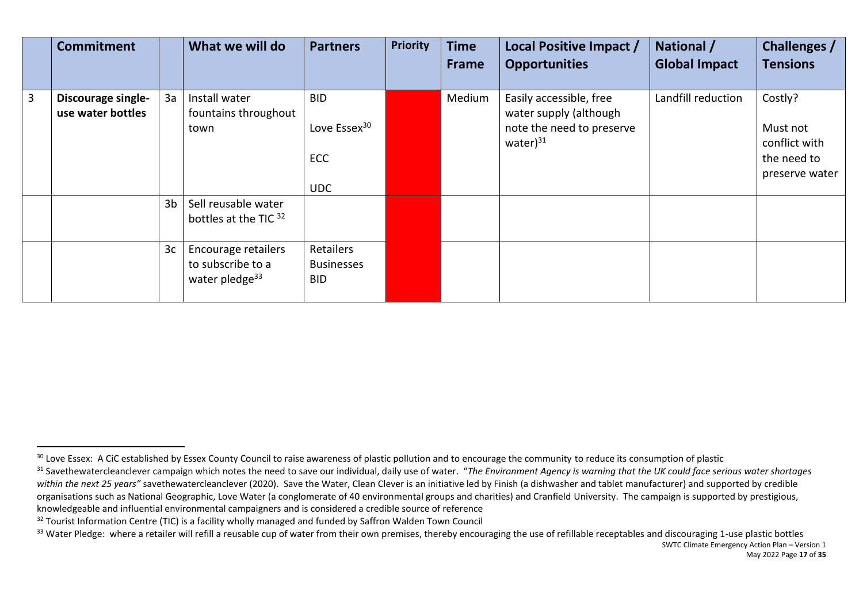|   | <b>Commitment</b>                       |                      | What we will do                                                                                 | <b>Partners</b>                                                    | <b>Priority</b> | <b>Time</b><br>Frame | Local Positive Impact /<br><b>Opportunities</b>                                                  | National /<br><b>Global Impact</b> | Challenges /<br><b>Tensions</b>                                       |
|---|-----------------------------------------|----------------------|-------------------------------------------------------------------------------------------------|--------------------------------------------------------------------|-----------------|----------------------|--------------------------------------------------------------------------------------------------|------------------------------------|-----------------------------------------------------------------------|
| 3 | Discourage single-<br>use water bottles | 3a<br>3 <sub>b</sub> | Install water<br>fountains throughout<br>town<br>Sell reusable water                            | <b>BID</b><br>Love Essex <sup>30</sup><br><b>ECC</b><br><b>UDC</b> |                 | Medium               | Easily accessible, free<br>water supply (although<br>note the need to preserve<br>water $)^{31}$ | Landfill reduction                 | Costly?<br>Must not<br>conflict with<br>the need to<br>preserve water |
|   |                                         | 3 <sub>c</sub>       | bottles at the TIC 32<br>Encourage retailers<br>to subscribe to a<br>water pledge <sup>33</sup> | Retailers<br><b>Businesses</b><br><b>BID</b>                       |                 |                      |                                                                                                  |                                    |                                                                       |

<sup>&</sup>lt;sup>30</sup> Love Essex: A CiC established by Essex County Council to raise awareness of plastic pollution and to encourage the community to reduce its consumption of plastic

<sup>&</sup>lt;sup>31</sup> Savethewatercleanclever campaign which notes the need to save our individual, daily use of water. "The Environment Agency is warning that the UK could face serious water shortages within the next 25 years" savethewatercleanclever (2020). Save the Water, Clean Clever is an initiative led by Finish (a dishwasher and tablet manufacturer) and supported by credible organisations such as National Geographic, Love Water (a conglomerate of 40 environmental groups and charities) and Cranfield University. The campaign is supported by prestigious, knowledgeable and influential environmental campaigners and is considered a credible source of reference

<sup>&</sup>lt;sup>32</sup> Tourist Information Centre (TIC) is a facility wholly managed and funded by Saffron Walden Town Council

 $33$  Water Pledge: where a retailer will refill a reusable cup of water from their own premises, thereby encouraging the use of refillable receptables and discouraging 1-use plastic bottles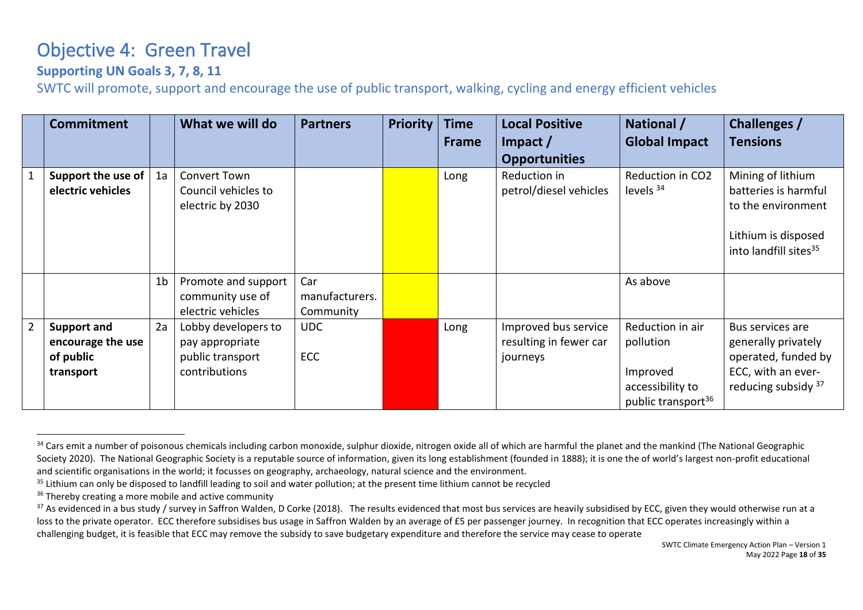### Objective 4: Green Travel

### **Supporting UN Goals 3, 7, 8, 11**

SWTC will promote, support and encourage the use of public transport, walking, cycling and energy efficient vehicles

|                | <b>Commitment</b>                       |                | What we will do                                         | <b>Partners</b> | <b>Priority</b> | <b>Time</b> | <b>Local Positive</b>                  | National /                                         | <b>Challenges /</b>                                                                                                         |
|----------------|-----------------------------------------|----------------|---------------------------------------------------------|-----------------|-----------------|-------------|----------------------------------------|----------------------------------------------------|-----------------------------------------------------------------------------------------------------------------------------|
|                |                                         |                |                                                         |                 |                 | Frame       | Impact $/$                             | <b>Global Impact</b>                               | <b>Tensions</b>                                                                                                             |
|                |                                         |                |                                                         |                 |                 |             | <b>Opportunities</b>                   |                                                    |                                                                                                                             |
| $\mathbf{1}$   | Support the use of<br>electric vehicles | 1a             | Convert Town<br>Council vehicles to<br>electric by 2030 |                 |                 | Long        | Reduction in<br>petrol/diesel vehicles | Reduction in CO2<br>levels $34$                    | Mining of lithium<br>batteries is harmful<br>to the environment<br>Lithium is disposed<br>into landfill sites <sup>35</sup> |
|                |                                         | 1 <sub>b</sub> | Promote and support                                     | Car             |                 |             |                                        | As above                                           |                                                                                                                             |
|                |                                         |                | community use of                                        | manufacturers.  |                 |             |                                        |                                                    |                                                                                                                             |
|                |                                         |                | electric vehicles                                       | Community       |                 |             |                                        |                                                    |                                                                                                                             |
| $\overline{2}$ | <b>Support and</b>                      | 2a             | Lobby developers to                                     | <b>UDC</b>      |                 | Long        | Improved bus service                   | Reduction in air                                   | Bus services are                                                                                                            |
|                | encourage the use                       |                | pay appropriate                                         |                 |                 |             | resulting in fewer car                 | pollution                                          | generally privately                                                                                                         |
|                | of public                               |                | public transport                                        | <b>ECC</b>      |                 |             | journeys                               |                                                    | operated, funded by                                                                                                         |
|                | transport                               |                | contributions                                           |                 |                 |             |                                        | Improved                                           | ECC, with an ever-                                                                                                          |
|                |                                         |                |                                                         |                 |                 |             |                                        | accessibility to<br>public transport <sup>36</sup> | reducing subsidy 37                                                                                                         |

<span id="page-17-0"></span><sup>&</sup>lt;sup>34</sup> Cars emit a number of poisonous chemicals including carbon monoxide, sulphur dioxide, nitrogen oxide all of which are harmful the planet and the mankind (The National Geographic Society 2020). The National Geographic Society is a reputable source of information, given its long establishment (founded in 1888); it is one the of world's largest non-profit educational and scientific organisations in the world; it focusses on geography, archaeology, natural science and the environment.

<sup>&</sup>lt;sup>35</sup> Lithium can only be disposed to landfill leading to soil and water pollution; at the present time lithium cannot be recycled

<sup>&</sup>lt;sup>36</sup> Thereby creating a more mobile and active community

<sup>&</sup>lt;sup>37</sup> As evidenced in a bus study / survey in Saffron Walden, D Corke (2018). The results evidenced that most bus services are heavily subsidised by ECC, given they would otherwise run at a loss to the private operator. ECC therefore subsidises bus usage in Saffron Walden by an average of £5 per passenger journey. In recognition that ECC operates increasingly within a challenging budget, it is feasible that ECC may remove the subsidy to save budgetary expenditure and therefore the service may cease to operate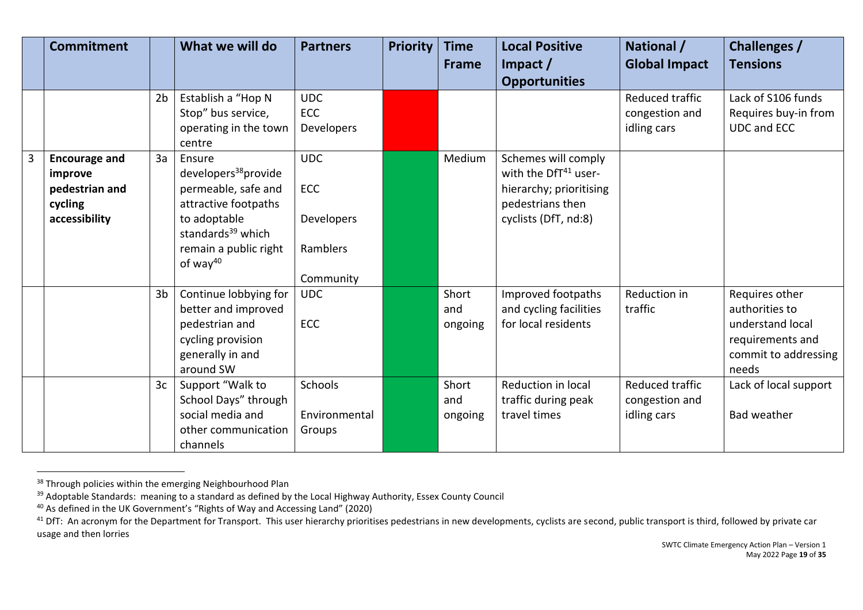|   | <b>Commitment</b>                                                             |                                  | What we will do                                                                                                                                                                    | <b>Partners</b>                                                 | <b>Priority</b> | <b>Time</b><br><b>Frame</b>             | <b>Local Positive</b><br>$Im$ pact $/$                                                                                  | National /<br><b>Global Impact</b>                           | <b>Challenges /</b><br><b>Tensions</b>                                                                                             |
|---|-------------------------------------------------------------------------------|----------------------------------|------------------------------------------------------------------------------------------------------------------------------------------------------------------------------------|-----------------------------------------------------------------|-----------------|-----------------------------------------|-------------------------------------------------------------------------------------------------------------------------|--------------------------------------------------------------|------------------------------------------------------------------------------------------------------------------------------------|
|   |                                                                               |                                  |                                                                                                                                                                                    |                                                                 |                 |                                         | <b>Opportunities</b>                                                                                                    |                                                              |                                                                                                                                    |
|   |                                                                               | 2 <sub>b</sub>                   | Establish a "Hop N<br>Stop" bus service,<br>operating in the town<br>centre                                                                                                        | <b>UDC</b><br>ECC<br>Developers                                 |                 |                                         |                                                                                                                         | Reduced traffic<br>congestion and<br>idling cars             | Lack of S106 funds<br>Requires buy-in from<br><b>UDC and ECC</b>                                                                   |
| 3 | <b>Encourage and</b><br>improve<br>pedestrian and<br>cycling<br>accessibility | 3a                               | Ensure<br>developers <sup>38</sup> provide<br>permeable, safe and<br>attractive footpaths<br>to adoptable<br>standards <sup>39</sup> which<br>remain a public right<br>of way $40$ | <b>UDC</b><br><b>ECC</b><br>Developers<br>Ramblers<br>Community |                 | Medium                                  | Schemes will comply<br>with the DfT41 user-<br>hierarchy; prioritising<br>pedestrians then<br>cyclists (DfT, nd:8)      |                                                              |                                                                                                                                    |
|   |                                                                               | 3 <sub>b</sub><br>3 <sub>c</sub> | Continue lobbying for<br>better and improved<br>pedestrian and<br>cycling provision<br>generally in and<br>around SW<br>Support "Walk to<br>School Days" through                   | <b>UDC</b><br>ECC<br><b>Schools</b>                             |                 | Short<br>and<br>ongoing<br>Short<br>and | Improved footpaths<br>and cycling facilities<br>for local residents<br><b>Reduction in local</b><br>traffic during peak | Reduction in<br>traffic<br>Reduced traffic<br>congestion and | Requires other<br>authorities to<br>understand local<br>requirements and<br>commit to addressing<br>needs<br>Lack of local support |
|   |                                                                               |                                  | social media and<br>other communication<br>channels                                                                                                                                | Environmental<br>Groups                                         |                 | ongoing                                 | travel times                                                                                                            | idling cars                                                  | <b>Bad weather</b>                                                                                                                 |

<sup>&</sup>lt;sup>38</sup> Through policies within the emerging Neighbourhood Plan

<sup>&</sup>lt;sup>39</sup> Adoptable Standards: meaning to a standard as defined by the Local Highway Authority, Essex County Council

<sup>&</sup>lt;sup>40</sup> As defined in the UK Government's "Rights of Way and Accessing Land" (2020)

<sup>&</sup>lt;sup>41</sup> DfT: An acronym for the Department for Transport. This user hierarchy prioritises pedestrians in new developments, cyclists are second, public transport is third, followed by private car usage and then lorries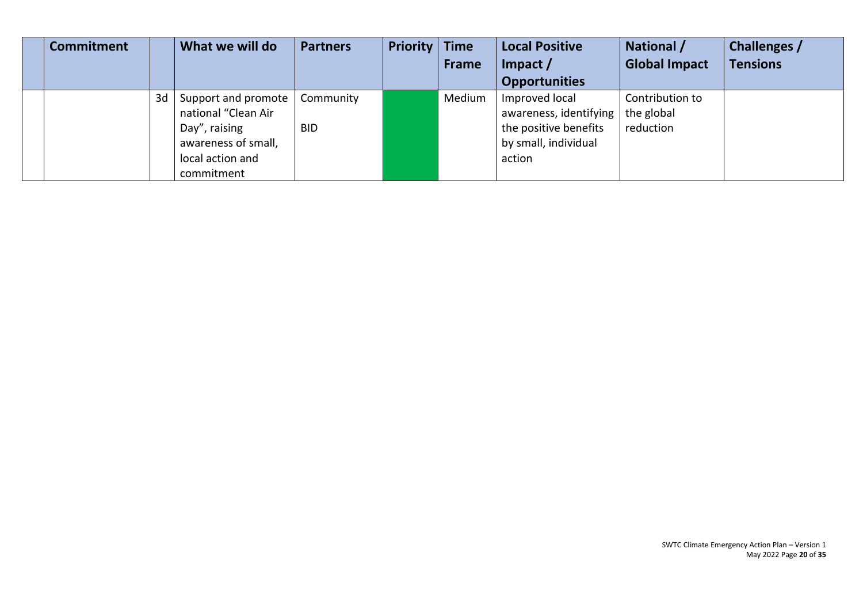| <b>Commitment</b> |    | What we will do     | <b>Partners</b> | <b>Priority   Time</b> |              | <b>Local Positive</b>  | National /           | Challenges /    |
|-------------------|----|---------------------|-----------------|------------------------|--------------|------------------------|----------------------|-----------------|
|                   |    |                     |                 |                        | <b>Frame</b> | Impact $/$             | <b>Global Impact</b> | <b>Tensions</b> |
|                   |    |                     |                 |                        |              | <b>Opportunities</b>   |                      |                 |
|                   | 3d | Support and promote | Community       |                        | Medium       | Improved local         | Contribution to      |                 |
|                   |    | national "Clean Air |                 |                        |              | awareness, identifying | the global           |                 |
|                   |    | Day", raising       | <b>BID</b>      |                        |              | the positive benefits  | reduction            |                 |
|                   |    | awareness of small, |                 |                        |              | by small, individual   |                      |                 |
|                   |    | local action and    |                 |                        |              | action                 |                      |                 |
|                   |    | commitment          |                 |                        |              |                        |                      |                 |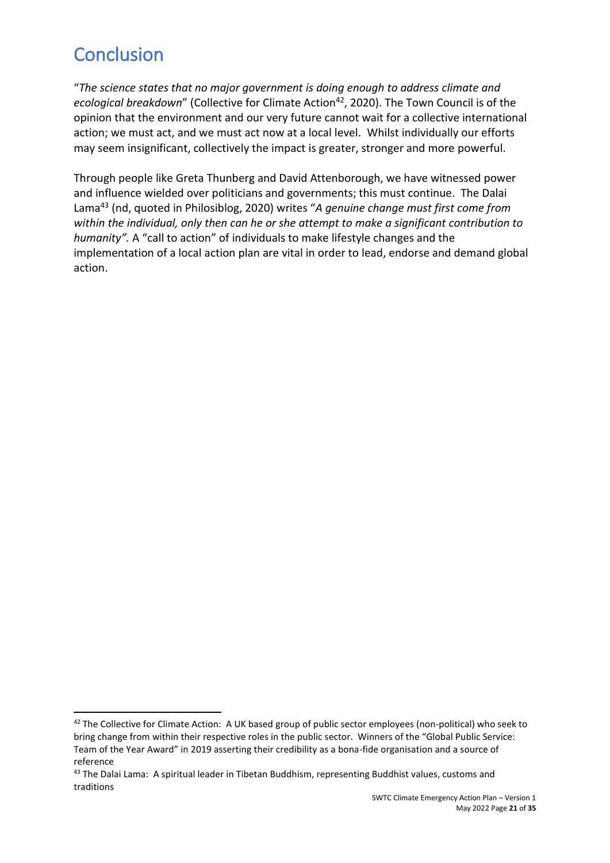# <span id="page-20-0"></span>**Conclusion**

"*The science states that no major government is doing enough to address climate and ecological breakdown*" (Collective for Climate Action<sup>42</sup>, 2020). The Town Council is of the opinion that the environment and our very future cannot wait for a collective international action; we must act, and we must act now at a local level.Whilst individually our efforts may seem insignificant, collectively the impact is greater, stronger and more powerful.

Through people like Greta Thunberg and David Attenborough, we have witnessed power and influence wielded over politicians and governments; this must continue. The Dalai Lama<sup>43</sup> (nd, quoted in Philosiblog, 2020) writes "*A genuine change must first come from within the individual, only then can he or she attempt to make a significant contribution to humanity".* A "call to action" of individuals to make lifestyle changes and the implementation of a local action plan are vital in order to lead, endorse and demand global action.

<sup>&</sup>lt;sup>42</sup> The Collective for Climate Action: A UK based group of public sector employees (non-political) who seek to bring change from within their respective roles in the public sector. Winners of the "Global Public Service: Team of the Year Award" in 2019 asserting their credibility as a bona-fide organisation and a source of reference

<sup>&</sup>lt;sup>43</sup> The Dalai Lama: A spiritual leader in Tibetan Buddhism, representing Buddhist values, customs and traditions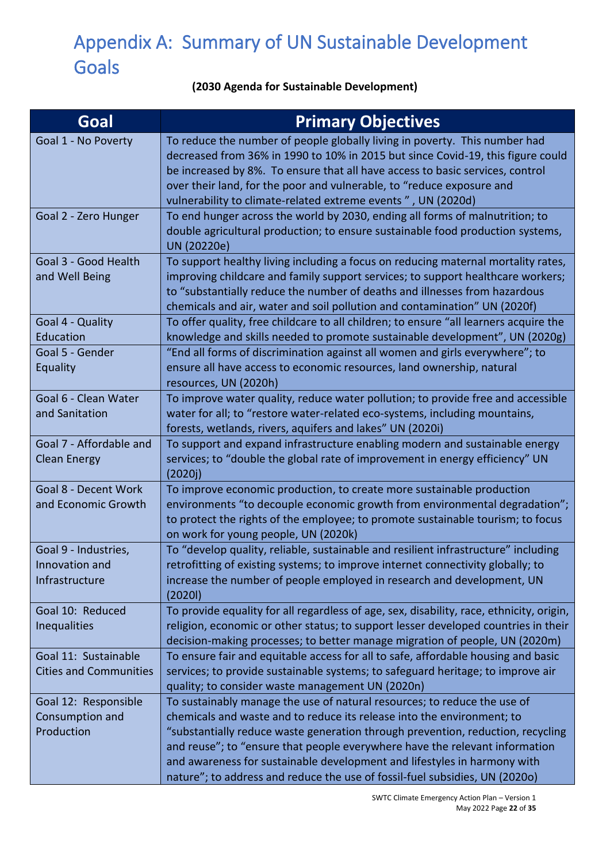# <span id="page-21-0"></span>Appendix A: Summary of UN Sustainable Development **Goals**

### **(2030 Agenda for Sustainable Development)**

| Goal                                                     | <b>Primary Objectives</b>                                                                                                                                                                                                                                                                                                                                                                                                                                                       |
|----------------------------------------------------------|---------------------------------------------------------------------------------------------------------------------------------------------------------------------------------------------------------------------------------------------------------------------------------------------------------------------------------------------------------------------------------------------------------------------------------------------------------------------------------|
| Goal 1 - No Poverty                                      | To reduce the number of people globally living in poverty. This number had<br>decreased from 36% in 1990 to 10% in 2015 but since Covid-19, this figure could<br>be increased by 8%. To ensure that all have access to basic services, control<br>over their land, for the poor and vulnerable, to "reduce exposure and<br>vulnerability to climate-related extreme events", UN (2020d)                                                                                         |
| Goal 2 - Zero Hunger                                     | To end hunger across the world by 2030, ending all forms of malnutrition; to<br>double agricultural production; to ensure sustainable food production systems,<br>UN (20220e)                                                                                                                                                                                                                                                                                                   |
| Goal 3 - Good Health<br>and Well Being                   | To support healthy living including a focus on reducing maternal mortality rates,<br>improving childcare and family support services; to support healthcare workers;<br>to "substantially reduce the number of deaths and illnesses from hazardous<br>chemicals and air, water and soil pollution and contamination" UN (2020f)                                                                                                                                                 |
| Goal 4 - Quality<br>Education                            | To offer quality, free childcare to all children; to ensure "all learners acquire the<br>knowledge and skills needed to promote sustainable development", UN (2020g)                                                                                                                                                                                                                                                                                                            |
| Goal 5 - Gender<br><b>Equality</b>                       | "End all forms of discrimination against all women and girls everywhere"; to<br>ensure all have access to economic resources, land ownership, natural<br>resources, UN (2020h)                                                                                                                                                                                                                                                                                                  |
| Goal 6 - Clean Water<br>and Sanitation                   | To improve water quality, reduce water pollution; to provide free and accessible<br>water for all; to "restore water-related eco-systems, including mountains,<br>forests, wetlands, rivers, aquifers and lakes" UN (2020i)                                                                                                                                                                                                                                                     |
| Goal 7 - Affordable and<br><b>Clean Energy</b>           | To support and expand infrastructure enabling modern and sustainable energy<br>services; to "double the global rate of improvement in energy efficiency" UN<br>(2020j)                                                                                                                                                                                                                                                                                                          |
| Goal 8 - Decent Work<br>and Economic Growth              | To improve economic production, to create more sustainable production<br>environments "to decouple economic growth from environmental degradation";<br>to protect the rights of the employee; to promote sustainable tourism; to focus<br>on work for young people, UN (2020k)                                                                                                                                                                                                  |
| Goal 9 - Industries,<br>Innovation and<br>Infrastructure | To "develop quality, reliable, sustainable and resilient infrastructure" including<br>retrofitting of existing systems; to improve internet connectivity globally; to<br>increase the number of people employed in research and development, UN<br>(2020I)                                                                                                                                                                                                                      |
| Goal 10: Reduced<br><b>Inequalities</b>                  | To provide equality for all regardless of age, sex, disability, race, ethnicity, origin,<br>religion, economic or other status; to support lesser developed countries in their<br>decision-making processes; to better manage migration of people, UN (2020m)                                                                                                                                                                                                                   |
| Goal 11: Sustainable<br><b>Cities and Communities</b>    | To ensure fair and equitable access for all to safe, affordable housing and basic<br>services; to provide sustainable systems; to safeguard heritage; to improve air<br>quality; to consider waste management UN (2020n)                                                                                                                                                                                                                                                        |
| Goal 12: Responsible<br>Consumption and<br>Production    | To sustainably manage the use of natural resources; to reduce the use of<br>chemicals and waste and to reduce its release into the environment; to<br>"substantially reduce waste generation through prevention, reduction, recycling<br>and reuse"; to "ensure that people everywhere have the relevant information<br>and awareness for sustainable development and lifestyles in harmony with<br>nature"; to address and reduce the use of fossil-fuel subsidies, UN (2020o) |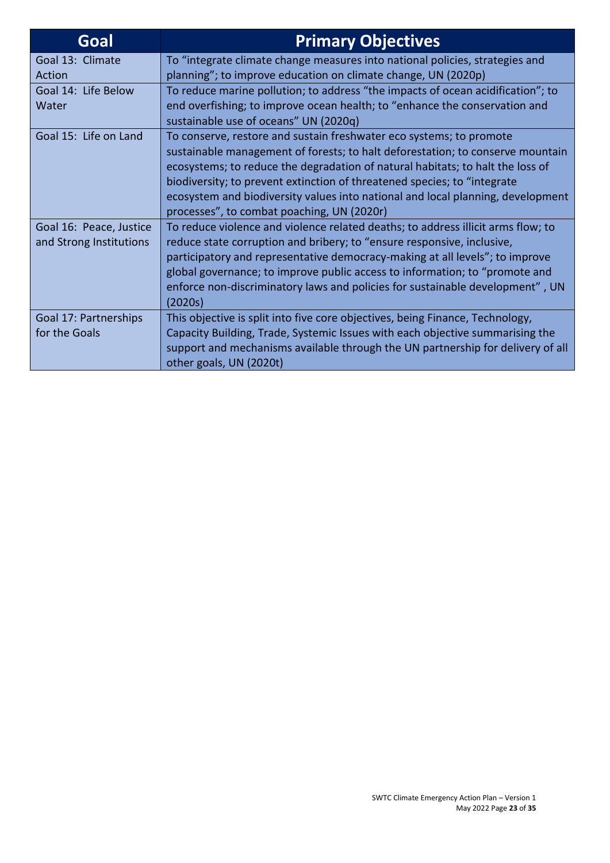| Goal                    | <b>Primary Objectives</b>                                                        |
|-------------------------|----------------------------------------------------------------------------------|
| Goal 13: Climate        | To "integrate climate change measures into national policies, strategies and     |
| Action                  | planning"; to improve education on climate change, UN (2020p)                    |
| Goal 14: Life Below     | To reduce marine pollution; to address "the impacts of ocean acidification"; to  |
| Water                   | end overfishing; to improve ocean health; to "enhance the conservation and       |
|                         | sustainable use of oceans" UN (2020q)                                            |
| Goal 15: Life on Land   | To conserve, restore and sustain freshwater eco systems; to promote              |
|                         | sustainable management of forests; to halt deforestation; to conserve mountain   |
|                         | ecosystems; to reduce the degradation of natural habitats; to halt the loss of   |
|                         | biodiversity; to prevent extinction of threatened species; to "integrate         |
|                         | ecosystem and biodiversity values into national and local planning, development  |
|                         | processes", to combat poaching, UN (2020r)                                       |
| Goal 16: Peace, Justice | To reduce violence and violence related deaths; to address illicit arms flow; to |
| and Strong Institutions | reduce state corruption and bribery; to "ensure responsive, inclusive,           |
|                         | participatory and representative democracy-making at all levels"; to improve     |
|                         | global governance; to improve public access to information; to "promote and      |
|                         | enforce non-discriminatory laws and policies for sustainable development", UN    |
|                         | (2020s)                                                                          |
| Goal 17: Partnerships   | This objective is split into five core objectives, being Finance, Technology,    |
| for the Goals           | Capacity Building, Trade, Systemic Issues with each objective summarising the    |
|                         | support and mechanisms available through the UN partnership for delivery of all  |
|                         | other goals, UN (2020t)                                                          |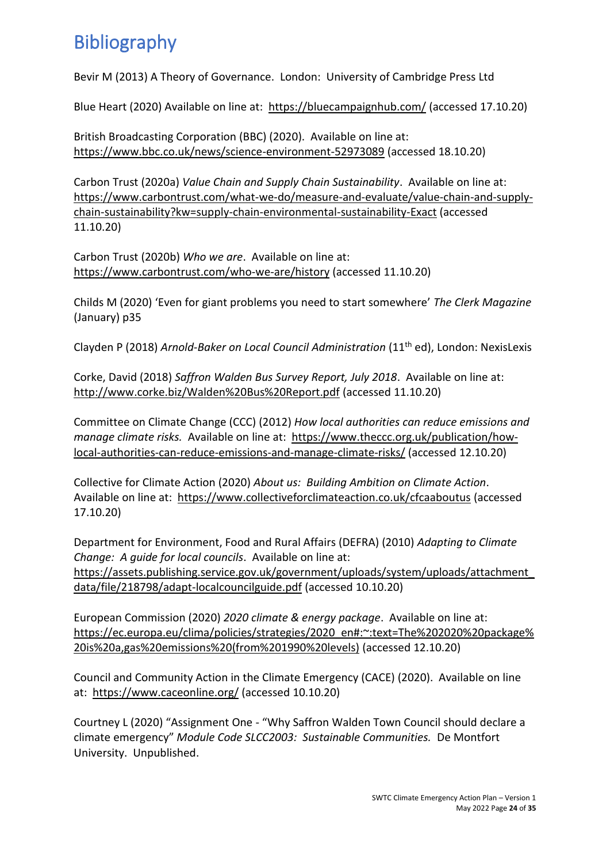# <span id="page-23-0"></span>Bibliography

Bevir M (2013) A Theory of Governance. London: University of Cambridge Press Ltd

Blue Heart (2020) Available on line at: <https://bluecampaignhub.com/> (accessed 17.10.20)

British Broadcasting Corporation (BBC) (2020). Available on line at: <https://www.bbc.co.uk/news/science-environment-52973089> (accessed 18.10.20)

Carbon Trust (2020a) *Value Chain and Supply Chain Sustainability*. Available on line at: [https://www.carbontrust.com/what-we-do/measure-and-evaluate/value-chain-and-supply](https://www.carbontrust.com/what-we-do/measure-and-evaluate/value-chain-and-supply-chain-sustainability?kw=supply-chain-environmental-sustainability-Exact)[chain-sustainability?kw=supply-chain-environmental-sustainability-Exact](https://www.carbontrust.com/what-we-do/measure-and-evaluate/value-chain-and-supply-chain-sustainability?kw=supply-chain-environmental-sustainability-Exact) (accessed 11.10.20)

Carbon Trust (2020b) *Who we are*. Available on line at: <https://www.carbontrust.com/who-we-are/history> (accessed 11.10.20)

Childs M (2020) 'Even for giant problems you need to start somewhere' *The Clerk Magazine* (January) p35

Clayden P (2018) *Arnold-Baker on Local Council Administration* (11th ed), London: NexisLexis

Corke, David (2018) *Saffron Walden Bus Survey Report, July 2018*. Available on line at: <http://www.corke.biz/Walden%20Bus%20Report.pdf> (accessed 11.10.20)

Committee on Climate Change (CCC) (2012) *How local authorities can reduce emissions and manage climate risks.* Available on line at: [https://www.theccc.org.uk/publication/how](https://www.theccc.org.uk/publication/how-local-authorities-can-reduce-emissions-and-manage-climate-risks/)[local-authorities-can-reduce-emissions-and-manage-climate-risks/](https://www.theccc.org.uk/publication/how-local-authorities-can-reduce-emissions-and-manage-climate-risks/) (accessed 12.10.20)

Collective for Climate Action (2020) *About us: Building Ambition on Climate Action*. Available on line at: <https://www.collectiveforclimateaction.co.uk/cfcaaboutus> (accessed 17.10.20)

Department for Environment, Food and Rural Affairs (DEFRA) (2010) *Adapting to Climate Change: A guide for local councils*. Available on line at: [https://assets.publishing.service.gov.uk/government/uploads/system/uploads/attachment\\_](https://assets.publishing.service.gov.uk/government/uploads/system/uploads/attachment_data/file/218798/adapt-localcouncilguide.pdf) [data/file/218798/adapt-localcouncilguide.pdf](https://assets.publishing.service.gov.uk/government/uploads/system/uploads/attachment_data/file/218798/adapt-localcouncilguide.pdf) (accessed 10.10.20)

European Commission (2020) *2020 climate & energy package*. Available on line at: [https://ec.europa.eu/clima/policies/strategies/2020\\_en#:~:text=The%202020%20package%](https://ec.europa.eu/clima/policies/strategies/2020_en#:~:text=The%202020%20package%20is%20a,gas%20emissions%20(from%201990%20levels)) [20is%20a,gas%20emissions%20\(from%201990%20levels\)](https://ec.europa.eu/clima/policies/strategies/2020_en#:~:text=The%202020%20package%20is%20a,gas%20emissions%20(from%201990%20levels)) (accessed 12.10.20)

Council and Community Action in the Climate Emergency (CACE) (2020). Available on line at: <https://www.caceonline.org/> (accessed 10.10.20)

Courtney L (2020) "Assignment One - "Why Saffron Walden Town Council should declare a climate emergency" *Module Code SLCC2003: Sustainable Communities.* De Montfort University. Unpublished.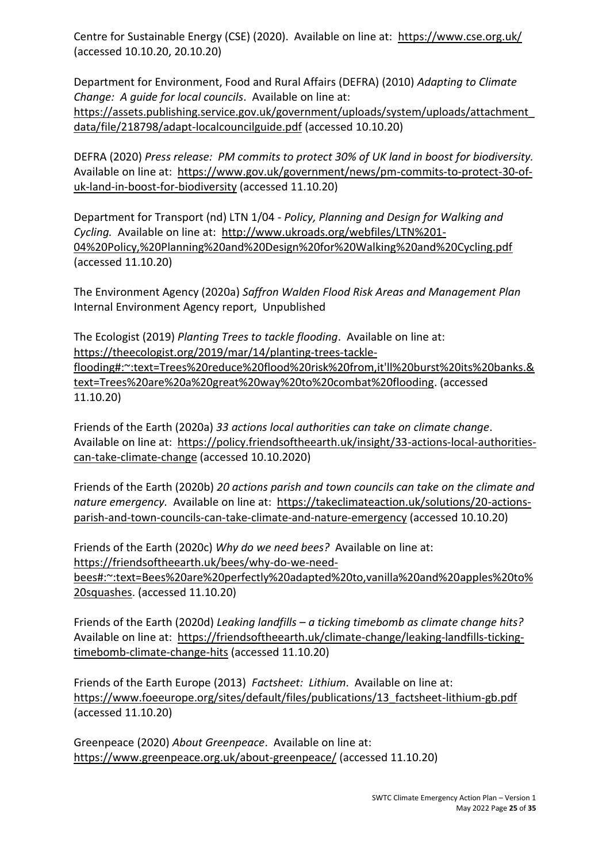Centre for Sustainable Energy (CSE) (2020). Available on line at: <https://www.cse.org.uk/> (accessed 10.10.20, 20.10.20)

Department for Environment, Food and Rural Affairs (DEFRA) (2010) *Adapting to Climate Change: A guide for local councils*. Available on line at: [https://assets.publishing.service.gov.uk/government/uploads/system/uploads/attachment\\_](https://assets.publishing.service.gov.uk/government/uploads/system/uploads/attachment_data/file/218798/adapt-localcouncilguide.pdf) [data/file/218798/adapt-localcouncilguide.pdf](https://assets.publishing.service.gov.uk/government/uploads/system/uploads/attachment_data/file/218798/adapt-localcouncilguide.pdf) (accessed 10.10.20)

DEFRA (2020) *Press release: PM commits to protect 30% of UK land in boost for biodiversity.*  Available on line at: [https://www.gov.uk/government/news/pm-commits-to-protect-30-of](https://www.gov.uk/government/news/pm-commits-to-protect-30-of-uk-land-in-boost-for-biodiversity)[uk-land-in-boost-for-biodiversity](https://www.gov.uk/government/news/pm-commits-to-protect-30-of-uk-land-in-boost-for-biodiversity) (accessed 11.10.20)

Department for Transport (nd) LTN 1/04 - *Policy, Planning and Design for Walking and Cycling.* Available on line at: [http://www.ukroads.org/webfiles/LTN%201-](http://www.ukroads.org/webfiles/LTN%201-04%20Policy,%20Planning%20and%20Design%20for%20Walking%20and%20Cycling.pdf) [04%20Policy,%20Planning%20and%20Design%20for%20Walking%20and%20Cycling.pdf](http://www.ukroads.org/webfiles/LTN%201-04%20Policy,%20Planning%20and%20Design%20for%20Walking%20and%20Cycling.pdf) (accessed 11.10.20)

The Environment Agency (2020a) *Saffron Walden Flood Risk Areas and Management Plan* Internal Environment Agency report, Unpublished

The Ecologist (2019) *Planting Trees to tackle flooding*. Available on line at: [https://theecologist.org/2019/mar/14/planting-trees-tackle](https://theecologist.org/2019/mar/14/planting-trees-tackle-flooding#:~:text=Trees%20reduce%20flood%20risk%20from,it)[flooding#:~:text=Trees%20reduce%20flood%20risk%20from,it'll%20burst%20its%20banks.&](https://theecologist.org/2019/mar/14/planting-trees-tackle-flooding#:~:text=Trees%20reduce%20flood%20risk%20from,it) [text=Trees%20are%20a%20great%20way%20to%20combat%20flooding.](https://theecologist.org/2019/mar/14/planting-trees-tackle-flooding#:~:text=Trees%20reduce%20flood%20risk%20from,it) (accessed 11.10.20)

Friends of the Earth (2020a) *33 actions local authorities can take on climate change*. Available on line at: [https://policy.friendsoftheearth.uk/insight/33-actions-local-authorities](https://policy.friendsoftheearth.uk/insight/33-actions-local-authorities-can-take-climate-change)[can-take-climate-change](https://policy.friendsoftheearth.uk/insight/33-actions-local-authorities-can-take-climate-change) (accessed 10.10.2020)

Friends of the Earth (2020b) *20 actions parish and town councils can take on the climate and nature emergency.* Available on line at: [https://takeclimateaction.uk/solutions/20-actions](https://takeclimateaction.uk/solutions/20-actions-parish-and-town-councils-can-take-climate-and-nature-emergency)[parish-and-town-councils-can-take-climate-and-nature-emergency](https://takeclimateaction.uk/solutions/20-actions-parish-and-town-councils-can-take-climate-and-nature-emergency) (accessed 10.10.20)

Friends of the Earth (2020c) *Why do we need bees?* Available on line at: [https://friendsoftheearth.uk/bees/why-do-we-need-](https://friendsoftheearth.uk/bees/why-do-we-need-bees#:~:text=Bees%20are%20perfectly%20adapted%20to,vanilla%20and%20apples%20to%20squashes)

[bees#:~:text=Bees%20are%20perfectly%20adapted%20to,vanilla%20and%20apples%20to%](https://friendsoftheearth.uk/bees/why-do-we-need-bees#:~:text=Bees%20are%20perfectly%20adapted%20to,vanilla%20and%20apples%20to%20squashes) [20squashes.](https://friendsoftheearth.uk/bees/why-do-we-need-bees#:~:text=Bees%20are%20perfectly%20adapted%20to,vanilla%20and%20apples%20to%20squashes) (accessed 11.10.20)

Friends of the Earth (2020d) *Leaking landfills – a ticking timebomb as climate change hits?* Available on line at: [https://friendsoftheearth.uk/climate-change/leaking-landfills-ticking](https://friendsoftheearth.uk/climate-change/leaking-landfills-ticking-timebomb-climate-change-hits)[timebomb-climate-change-hits](https://friendsoftheearth.uk/climate-change/leaking-landfills-ticking-timebomb-climate-change-hits) (accessed 11.10.20)

Friends of the Earth Europe (2013) *Factsheet: Lithium*. Available on line at: [https://www.foeeurope.org/sites/default/files/publications/13\\_factsheet-lithium-gb.pdf](https://www.foeeurope.org/sites/default/files/publications/13_factsheet-lithium-gb.pdf) (accessed 11.10.20)

Greenpeace (2020) *About Greenpeace*. Available on line at: <https://www.greenpeace.org.uk/about-greenpeace/> (accessed 11.10.20)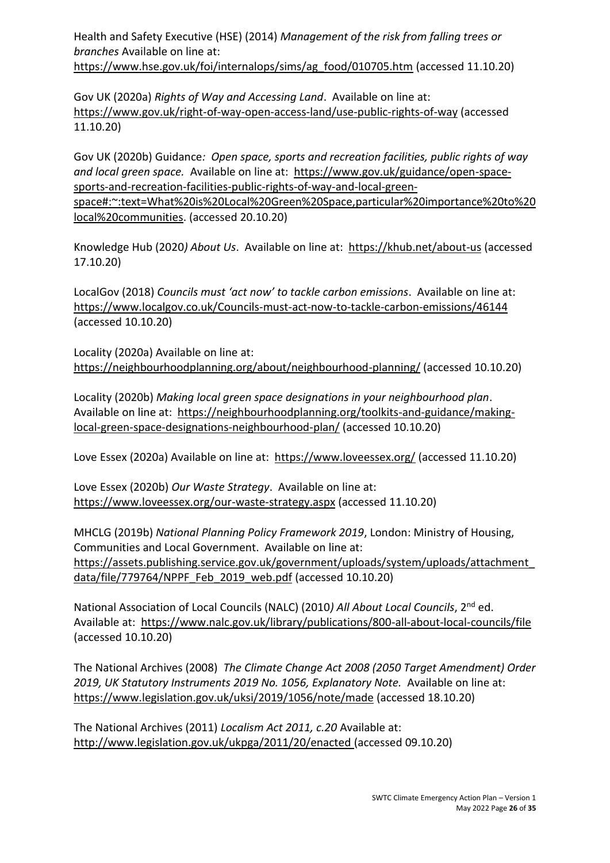Health and Safety Executive (HSE) (2014) *Management of the risk from falling trees or branches* Available on line at: [https://www.hse.gov.uk/foi/internalops/sims/ag\\_food/010705.htm](https://www.hse.gov.uk/foi/internalops/sims/ag_food/010705.htm) (accessed 11.10.20)

Gov UK (2020a) *Rights of Way and Accessing Land*. Available on line at: <https://www.gov.uk/right-of-way-open-access-land/use-public-rights-of-way> (accessed 11.10.20)

Gov UK (2020b) Guidance*: Open space, sports and recreation facilities, public rights of way and local green space.* Available on line at: [https://www.gov.uk/guidance/open-space](https://www.gov.uk/guidance/open-space-sports-and-recreation-facilities-public-rights-of-way-and-local-green-space#:~:text=What%20is%20Local%20Green%20Space,particular%20importance%20to%20local%20communities)[sports-and-recreation-facilities-public-rights-of-way-and-local-green](https://www.gov.uk/guidance/open-space-sports-and-recreation-facilities-public-rights-of-way-and-local-green-space#:~:text=What%20is%20Local%20Green%20Space,particular%20importance%20to%20local%20communities)[space#:~:text=What%20is%20Local%20Green%20Space,particular%20importance%20to%20](https://www.gov.uk/guidance/open-space-sports-and-recreation-facilities-public-rights-of-way-and-local-green-space#:~:text=What%20is%20Local%20Green%20Space,particular%20importance%20to%20local%20communities) [local%20communities.](https://www.gov.uk/guidance/open-space-sports-and-recreation-facilities-public-rights-of-way-and-local-green-space#:~:text=What%20is%20Local%20Green%20Space,particular%20importance%20to%20local%20communities) (accessed 20.10.20)

Knowledge Hub (2020*) About Us*. Available on line at: <https://khub.net/about-us> (accessed 17.10.20)

LocalGov (2018) *Councils must 'act now' to tackle carbon emissions*. Available on line at: <https://www.localgov.co.uk/Councils-must-act-now-to-tackle-carbon-emissions/46144> (accessed 10.10.20)

Locality (2020a) Available on line at: <https://neighbourhoodplanning.org/about/neighbourhood-planning/> (accessed 10.10.20)

Locality (2020b) *Making local green space designations in your neighbourhood plan*. Available on line at: [https://neighbourhoodplanning.org/toolkits-and-guidance/making](https://neighbourhoodplanning.org/toolkits-and-guidance/making-local-green-space-designations-neighbourhood-plan/)[local-green-space-designations-neighbourhood-plan/](https://neighbourhoodplanning.org/toolkits-and-guidance/making-local-green-space-designations-neighbourhood-plan/) (accessed 10.10.20)

Love Essex (2020a) Available on line at: <https://www.loveessex.org/> (accessed 11.10.20)

Love Essex (2020b) *Our Waste Strategy*. Available on line at: <https://www.loveessex.org/our-waste-strategy.aspx> (accessed 11.10.20)

MHCLG (2019b) *National Planning Policy Framework 2019*, London: Ministry of Housing, Communities and Local Government. Available on line at: [https://assets.publishing.service.gov.uk/government/uploads/system/uploads/attachment\\_](https://assets.publishing.service.gov.uk/government/uploads/system/uploads/attachment_data/file/779764/NPPF_Feb_2019_web.pdf) [data/file/779764/NPPF\\_Feb\\_2019\\_web.pdf](https://assets.publishing.service.gov.uk/government/uploads/system/uploads/attachment_data/file/779764/NPPF_Feb_2019_web.pdf) (accessed 10.10.20)

National Association of Local Councils (NALC) (2010*) All About Local Councils*, 2nd ed. Available at: <https://www.nalc.gov.uk/library/publications/800-all-about-local-councils/file> (accessed 10.10.20)

The National Archives (2008) *The Climate Change Act 2008 (2050 Target Amendment) Order 2019, [UK Statutory Instruments](https://www.legislation.gov.uk/uksi) 2019 [No. 1056,](https://www.legislation.gov.uk/uksi/2019/1056/contents/made) Explanatory Note.* Available on line at: <https://www.legislation.gov.uk/uksi/2019/1056/note/made> (accessed 18.10.20)

The National Archives (2011) *Localism Act 2011, c.20* Available at: <http://www.legislation.gov.uk/ukpga/2011/20/enacted> (accessed 09.10.20)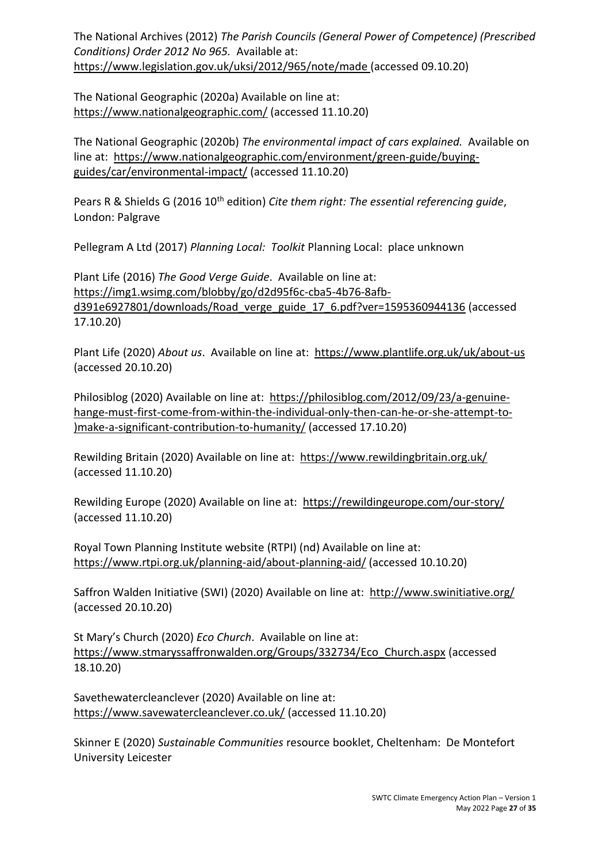The National Archives (2012) *The Parish Councils (General Power of Competence) (Prescribed Conditions) Order 2012 No 965.* Available at: <https://www.legislation.gov.uk/uksi/2012/965/note/made> (accessed 09.10.20)

The National Geographic (2020a) Available on line at: <https://www.nationalgeographic.com/> (accessed 11.10.20)

The National Geographic (2020b) *The environmental impact of cars explained.* Available on line at: [https://www.nationalgeographic.com/environment/green-guide/buying](https://www.nationalgeographic.com/environment/green-guide/buying-guides/car/environmental-impact/)[guides/car/environmental-impact/](https://www.nationalgeographic.com/environment/green-guide/buying-guides/car/environmental-impact/) (accessed 11.10.20)

Pears R & Shields G (2016 10<sup>th</sup> edition) *Cite them right: The essential referencing quide*, London: Palgrave

Pellegram A Ltd (2017) *Planning Local: Toolkit* Planning Local: place unknown

Plant Life (2016) *The Good Verge Guide*. Available on line at: [https://img1.wsimg.com/blobby/go/d2d95f6c-cba5-4b76-8afb](https://img1.wsimg.com/blobby/go/d2d95f6c-cba5-4b76-8afb-d391e6927801/downloads/Road_verge_guide_17_6.pdf?ver=1595360944136)[d391e6927801/downloads/Road\\_verge\\_guide\\_17\\_6.pdf?ver=1595360944136](https://img1.wsimg.com/blobby/go/d2d95f6c-cba5-4b76-8afb-d391e6927801/downloads/Road_verge_guide_17_6.pdf?ver=1595360944136) (accessed 17.10.20)

Plant Life (2020) *About us*. Available on line at: <https://www.plantlife.org.uk/uk/about-us> (accessed 20.10.20)

Philosiblog (2020) Available on line at: [https://philosiblog.com/2012/09/23/a-genuine](https://philosiblog.com/2012/09/23/a-genuine-hange-must-first-come-from-within-the-individual-only-then-can-he-or-she-attempt-to-)make-a-significant-contribution-to-humanity/)[hange-must-first-come-from-within-the-individual-only-then-can-he-or-she-attempt-to-](https://philosiblog.com/2012/09/23/a-genuine-hange-must-first-come-from-within-the-individual-only-then-can-he-or-she-attempt-to-)make-a-significant-contribution-to-humanity/) [\)make-a-significant-contribution-to-humanity/](https://philosiblog.com/2012/09/23/a-genuine-hange-must-first-come-from-within-the-individual-only-then-can-he-or-she-attempt-to-)make-a-significant-contribution-to-humanity/) (accessed 17.10.20)

Rewilding Britain (2020) Available on line at: <https://www.rewildingbritain.org.uk/> (accessed 11.10.20)

Rewilding Europe (2020) Available on line at: <https://rewildingeurope.com/our-story/> (accessed 11.10.20)

Royal Town Planning Institute website (RTPI) (nd) Available on line at: <https://www.rtpi.org.uk/planning-aid/about-planning-aid/> (accessed 10.10.20)

Saffron Walden Initiative (SWI) (2020) Available on line at: <http://www.swinitiative.org/> (accessed 20.10.20)

St Mary's Church (2020) *Eco Church*. Available on line at: [https://www.stmaryssaffronwalden.org/Groups/332734/Eco\\_Church.aspx](https://www.stmaryssaffronwalden.org/Groups/332734/Eco_Church.aspx) (accessed 18.10.20)

Savethewatercleanclever (2020) Available on line at: <https://www.savewatercleanclever.co.uk/> (accessed 11.10.20)

Skinner E (2020) *Sustainable Communities* resource booklet, Cheltenham: De Montefort University Leicester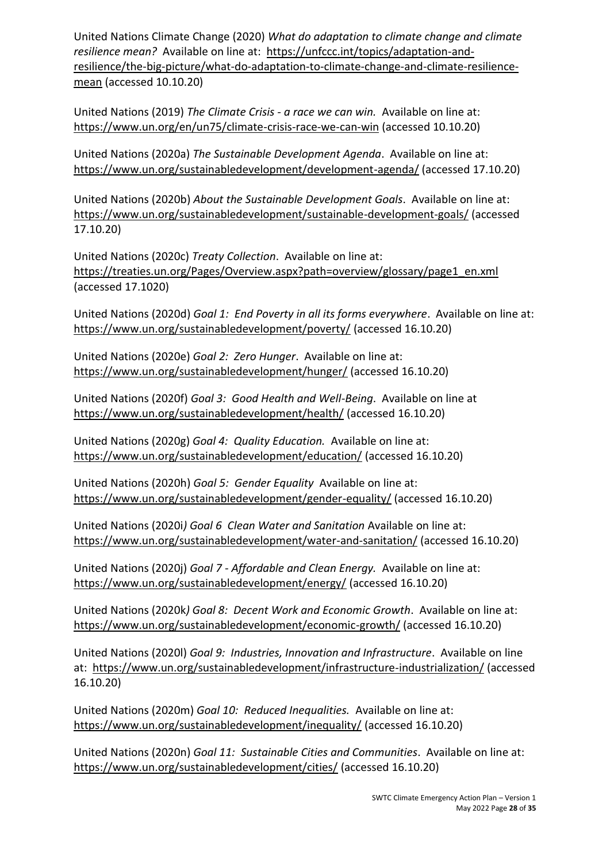United Nations Climate Change (2020) *What do adaptation to climate change and climate resilience mean?* Available on line at: [https://unfccc.int/topics/adaptation-and](https://unfccc.int/topics/adaptation-and-resilience/the-big-picture/what-do-adaptation-to-climate-change-and-climate-resilience-mean)[resilience/the-big-picture/what-do-adaptation-to-climate-change-and-climate-resilience](https://unfccc.int/topics/adaptation-and-resilience/the-big-picture/what-do-adaptation-to-climate-change-and-climate-resilience-mean)[mean](https://unfccc.int/topics/adaptation-and-resilience/the-big-picture/what-do-adaptation-to-climate-change-and-climate-resilience-mean) (accessed 10.10.20)

United Nations (2019) *The Climate Crisis - a race we can win.* Available on line at: <https://www.un.org/en/un75/climate-crisis-race-we-can-win> (accessed 10.10.20)

United Nations (2020a) *The Sustainable Development Agenda*. Available on line at: <https://www.un.org/sustainabledevelopment/development-agenda/> (accessed 17.10.20)

United Nations (2020b) *About the Sustainable Development Goals*. Available on line at: <https://www.un.org/sustainabledevelopment/sustainable-development-goals/> (accessed 17.10.20)

United Nations (2020c) *Treaty Collection*. Available on line at: [https://treaties.un.org/Pages/Overview.aspx?path=overview/glossary/page1\\_en.xml](https://treaties.un.org/Pages/Overview.aspx?path=overview/glossary/page1_en.xml) (accessed 17.1020)

United Nations (2020d) *Goal 1: End Poverty in all its forms everywhere*. Available on line at: <https://www.un.org/sustainabledevelopment/poverty/> (accessed 16.10.20)

United Nations (2020e) *Goal 2: Zero Hunger*. Available on line at: <https://www.un.org/sustainabledevelopment/hunger/> (accessed 16.10.20)

United Nations (2020f) *Goal 3: Good Health and Well-Being*. Available on line at <https://www.un.org/sustainabledevelopment/health/> (accessed 16.10.20)

United Nations (2020g) *Goal 4: Quality Education.* Available on line at: <https://www.un.org/sustainabledevelopment/education/> (accessed 16.10.20)

United Nations (2020h) *Goal 5: Gender Equality* Available on line at: <https://www.un.org/sustainabledevelopment/gender-equality/> (accessed 16.10.20)

United Nations (2020i*) Goal 6 Clean Water and Sanitation* Available on line at: <https://www.un.org/sustainabledevelopment/water-and-sanitation/> (accessed 16.10.20)

United Nations (2020j) *Goal 7 - Affordable and Clean Energy.* Available on line at: <https://www.un.org/sustainabledevelopment/energy/> (accessed 16.10.20)

United Nations (2020k*) Goal 8: Decent Work and Economic Growth*. Available on line at: <https://www.un.org/sustainabledevelopment/economic-growth/> (accessed 16.10.20)

United Nations (2020l) *Goal 9: Industries, Innovation and Infrastructure*. Available on line at: <https://www.un.org/sustainabledevelopment/infrastructure-industrialization/> (accessed 16.10.20)

United Nations (2020m) *Goal 10: Reduced Inequalities.* Available on line at: <https://www.un.org/sustainabledevelopment/inequality/> (accessed 16.10.20)

United Nations (2020n) *Goal 11: Sustainable Cities and Communities*. Available on line at: <https://www.un.org/sustainabledevelopment/cities/> (accessed 16.10.20)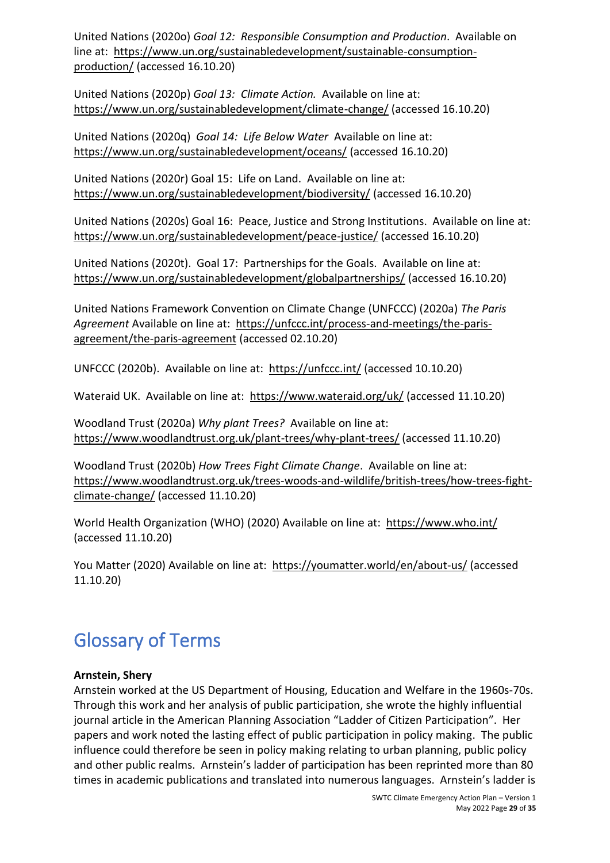United Nations (2020o) *Goal 12: Responsible Consumption and Production*. Available on line at: [https://www.un.org/sustainabledevelopment/sustainable-consumption](https://www.un.org/sustainabledevelopment/sustainable-consumption-production/)[production/](https://www.un.org/sustainabledevelopment/sustainable-consumption-production/) (accessed 16.10.20)

United Nations (2020p) *Goal 13: Climate Action.* Available on line at: <https://www.un.org/sustainabledevelopment/climate-change/> (accessed 16.10.20)

United Nations (2020q) *Goal 14: Life Below Water* Available on line at: <https://www.un.org/sustainabledevelopment/oceans/> (accessed 16.10.20)

United Nations (2020r) Goal 15: Life on Land. Available on line at: <https://www.un.org/sustainabledevelopment/biodiversity/> (accessed 16.10.20)

United Nations (2020s) Goal 16: Peace, Justice and Strong Institutions. Available on line at: <https://www.un.org/sustainabledevelopment/peace-justice/> (accessed 16.10.20)

United Nations (2020t). Goal 17: Partnerships for the Goals. Available on line at: <https://www.un.org/sustainabledevelopment/globalpartnerships/> (accessed 16.10.20)

United Nations Framework Convention on Climate Change (UNFCCC) (2020a) *The Paris Agreement* Available on line at: [https://unfccc.int/process-and-meetings/the-paris](https://unfccc.int/process-and-meetings/the-paris-agreement/the-paris-agreement)[agreement/the-paris-agreement](https://unfccc.int/process-and-meetings/the-paris-agreement/the-paris-agreement) (accessed 02.10.20)

UNFCCC (2020b). Available on line at: <https://unfccc.int/> (accessed 10.10.20)

Wateraid UK. Available on line at: <https://www.wateraid.org/uk/> (accessed 11.10.20)

Woodland Trust (2020a) *Why plant Trees?* Available on line at: <https://www.woodlandtrust.org.uk/plant-trees/why-plant-trees/> (accessed 11.10.20)

Woodland Trust (2020b) *How Trees Fight Climate Change*. Available on line at: [https://www.woodlandtrust.org.uk/trees-woods-and-wildlife/british-trees/how-trees-fight](https://www.woodlandtrust.org.uk/trees-woods-and-wildlife/british-trees/how-trees-fight-climate-change/)[climate-change/](https://www.woodlandtrust.org.uk/trees-woods-and-wildlife/british-trees/how-trees-fight-climate-change/) (accessed 11.10.20)

World Health Organization (WHO) (2020) Available on line at: <https://www.who.int/> (accessed 11.10.20)

You Matter (2020) Available on line at: <https://youmatter.world/en/about-us/> (accessed 11.10.20)

# <span id="page-28-0"></span>Glossary of Terms

#### **Arnstein, Shery**

Arnstein worked at the US Department of Housing, Education and Welfare in the 1960s-70s. Through this work and her analysis of public participation, she wrote the highly influential journal article in the American Planning Association "Ladder of Citizen Participation". Her papers and work noted the lasting effect of public participation in policy making. The public influence could therefore be seen in policy making relating to urban planning, public policy and other public realms. Arnstein's ladder of participation has been reprinted more than 80 times in academic publications and translated into numerous languages. Arnstein's ladder is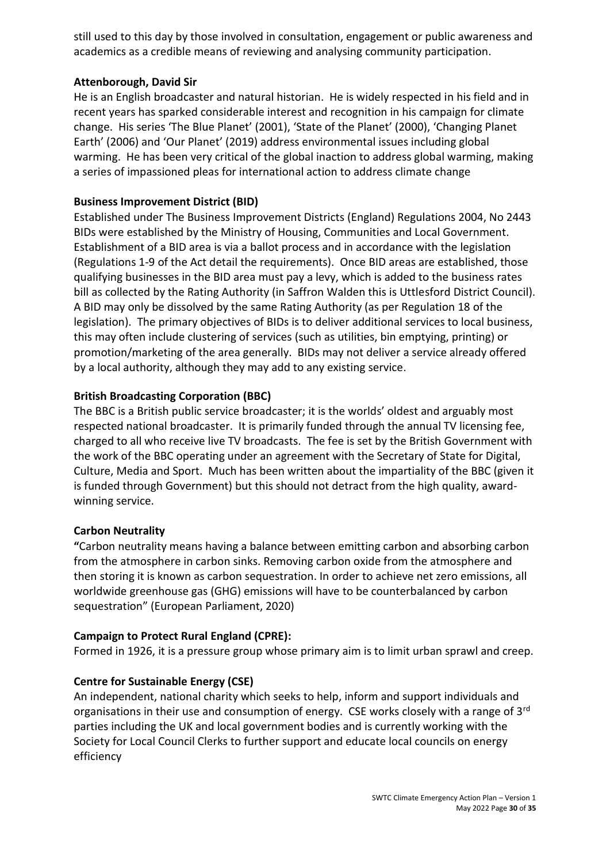still used to this day by those involved in consultation, engagement or public awareness and academics as a credible means of reviewing and analysing community participation.

#### **Attenborough, David Sir**

He is an English broadcaster and natural historian. He is widely respected in his field and in recent years has sparked considerable interest and recognition in his campaign for climate change. His series 'The Blue Planet' (2001), 'State of the Planet' (2000), 'Changing Planet Earth' (2006) and 'Our Planet' (2019) address environmental issues including global warming. He has been very critical of the global inaction to address global warming, making a series of impassioned pleas for international action to address climate change

#### **Business Improvement District (BID)**

Established under The Business Improvement Districts (England) Regulations 2004, No 2443 BIDs were established by the Ministry of Housing, Communities and Local Government. Establishment of a BID area is via a ballot process and in accordance with the legislation (Regulations 1-9 of the Act detail the requirements). Once BID areas are established, those qualifying businesses in the BID area must pay a levy, which is added to the business rates bill as collected by the Rating Authority (in Saffron Walden this is Uttlesford District Council). A BID may only be dissolved by the same Rating Authority (as per Regulation 18 of the legislation). The primary objectives of BIDs is to deliver additional services to local business, this may often include clustering of services (such as utilities, bin emptying, printing) or promotion/marketing of the area generally. BIDs may not deliver a service already offered by a local authority, although they may add to any existing service.

#### **British Broadcasting Corporation (BBC)**

The BBC is a British public service broadcaster; it is the worlds' oldest and arguably most respected national broadcaster. It is primarily funded through the annual TV licensing fee, charged to all who receive live TV broadcasts. The fee is set by the British Government with the work of the BBC operating under an agreement with the Secretary of State for Digital, Culture, Media and Sport. Much has been written about the impartiality of the BBC (given it is funded through Government) but this should not detract from the high quality, awardwinning service.

#### **Carbon Neutrality**

**"**Carbon neutrality means having a balance between emitting carbon and absorbing carbon from the atmosphere in carbon sinks. Removing carbon oxide from the atmosphere and then storing it is known as carbon sequestration. In order to achieve net zero emissions, all worldwide greenhouse gas (GHG) emissions will have to be counterbalanced by carbon sequestration" (European Parliament, 2020)

#### **Campaign to Protect Rural England (CPRE):**

Formed in 1926, it is a pressure group whose primary aim is to limit urban sprawl and creep.

#### **Centre for Sustainable Energy (CSE)**

An independent, national charity which seeks to help, inform and support individuals and organisations in their use and consumption of energy. CSE works closely with a range of 3<sup>rd</sup> parties including the UK and local government bodies and is currently working with the Society for Local Council Clerks to further support and educate local councils on energy efficiency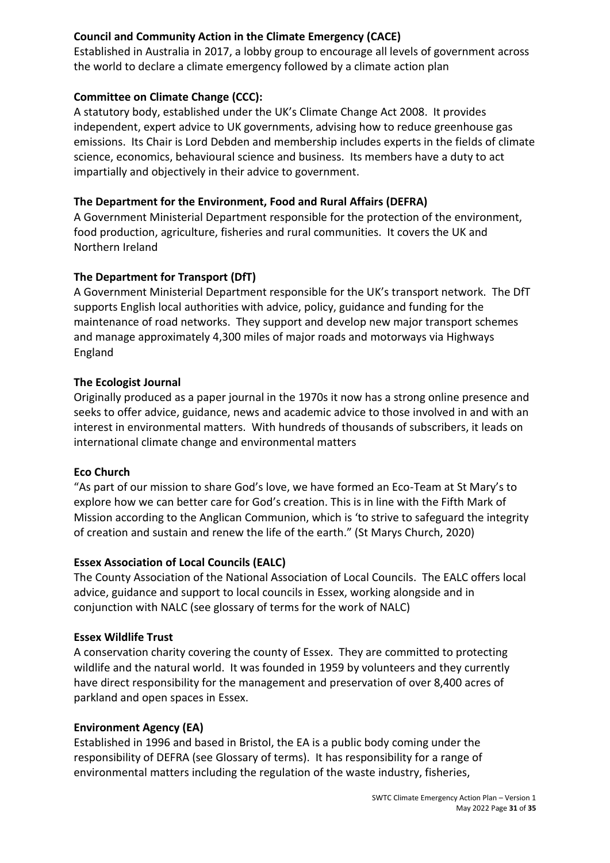#### **Council and Community Action in the Climate Emergency (CACE)**

Established in Australia in 2017, a lobby group to encourage all levels of government across the world to declare a climate emergency followed by a climate action plan

#### **Committee on Climate Change (CCC):**

A statutory body, established under the UK's Climate Change Act 2008. It provides independent, expert advice to UK governments, advising how to reduce greenhouse gas emissions. Its Chair is Lord Debden and membership includes experts in the fields of climate science, economics, behavioural science and business. Its members have a duty to act impartially and objectively in their advice to government.

#### **The Department for the Environment, Food and Rural Affairs (DEFRA)**

A Government Ministerial Department responsible for the protection of the environment, food production, agriculture, fisheries and rural communities. It covers the UK and Northern Ireland

#### **The Department for Transport (DfT)**

A Government Ministerial Department responsible for the UK's transport network. The DfT supports English local authorities with advice, policy, guidance and funding for the maintenance of road networks. They support and develop new major transport schemes and manage approximately 4,300 miles of major roads and motorways via Highways England

#### **The Ecologist Journal**

Originally produced as a paper journal in the 1970s it now has a strong online presence and seeks to offer advice, guidance, news and academic advice to those involved in and with an interest in environmental matters. With hundreds of thousands of subscribers, it leads on international climate change and environmental matters

#### **Eco Church**

"As part of our mission to share God's love, we have formed an Eco-Team at St Mary's to explore how we can better care for God's creation. This is in line with the Fifth Mark of Mission according to the Anglican Communion, which is 'to strive to safeguard the integrity of creation and sustain and renew the life of the earth." (St Marys Church, 2020)

#### **Essex Association of Local Councils (EALC)**

The County Association of the National Association of Local Councils. The EALC offers local advice, guidance and support to local councils in Essex, working alongside and in conjunction with NALC (see glossary of terms for the work of NALC)

#### **Essex Wildlife Trust**

A conservation charity covering the county of Essex. They are committed to protecting wildlife and the natural world. It was founded in 1959 by volunteers and they currently have direct responsibility for the management and preservation of over 8,400 acres of parkland and open spaces in Essex.

#### **Environment Agency (EA)**

Established in 1996 and based in Bristol, the EA is a public body coming under the responsibility of DEFRA (see Glossary of terms). It has responsibility for a range of environmental matters including the regulation of the waste industry, fisheries,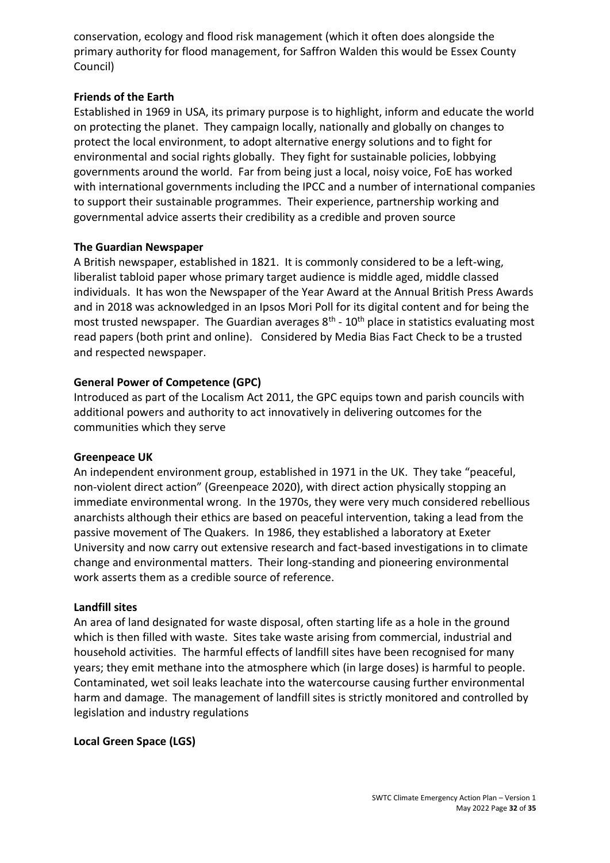conservation, ecology and flood risk management (which it often does alongside the primary authority for flood management, for Saffron Walden this would be Essex County Council)

#### **Friends of the Earth**

Established in 1969 in USA, its primary purpose is to highlight, inform and educate the world on protecting the planet. They campaign locally, nationally and globally on changes to protect the local environment, to adopt alternative energy solutions and to fight for environmental and social rights globally. They fight for sustainable policies, lobbying governments around the world. Far from being just a local, noisy voice, FoE has worked with international governments including the IPCC and a number of international companies to support their sustainable programmes. Their experience, partnership working and governmental advice asserts their credibility as a credible and proven source

#### **The Guardian Newspaper**

A British newspaper, established in 1821. It is commonly considered to be a left-wing, liberalist tabloid paper whose primary target audience is middle aged, middle classed individuals. It has won the Newspaper of the Year Award at the Annual British Press Awards and in 2018 was acknowledged in an Ipsos Mori Poll for its digital content and for being the most trusted newspaper. The Guardian averages  $8<sup>th</sup>$  -  $10<sup>th</sup>$  place in statistics evaluating most read papers (both print and online). Considered by Media Bias Fact Check to be a trusted and respected newspaper.

#### **General Power of Competence (GPC)**

Introduced as part of the Localism Act 2011, the GPC equips town and parish councils with additional powers and authority to act innovatively in delivering outcomes for the communities which they serve

#### **Greenpeace UK**

An independent environment group, established in 1971 in the UK. They take "peaceful, non-violent direct action" (Greenpeace 2020), with direct action physically stopping an immediate environmental wrong. In the 1970s, they were very much considered rebellious anarchists although their ethics are based on peaceful intervention, taking a lead from the passive movement of The Quakers. In 1986, they established a laboratory at Exeter University and now carry out extensive research and fact-based investigations in to climate change and environmental matters. Their long-standing and pioneering environmental work asserts them as a credible source of reference.

#### **Landfill sites**

An area of land designated for waste disposal, often starting life as a hole in the ground which is then filled with waste. Sites take waste arising from commercial, industrial and household activities. The harmful effects of landfill sites have been recognised for many years; they emit methane into the atmosphere which (in large doses) is harmful to people. Contaminated, wet soil leaks leachate into the watercourse causing further environmental harm and damage. The management of landfill sites is strictly monitored and controlled by legislation and industry regulations

#### **Local Green Space (LGS)**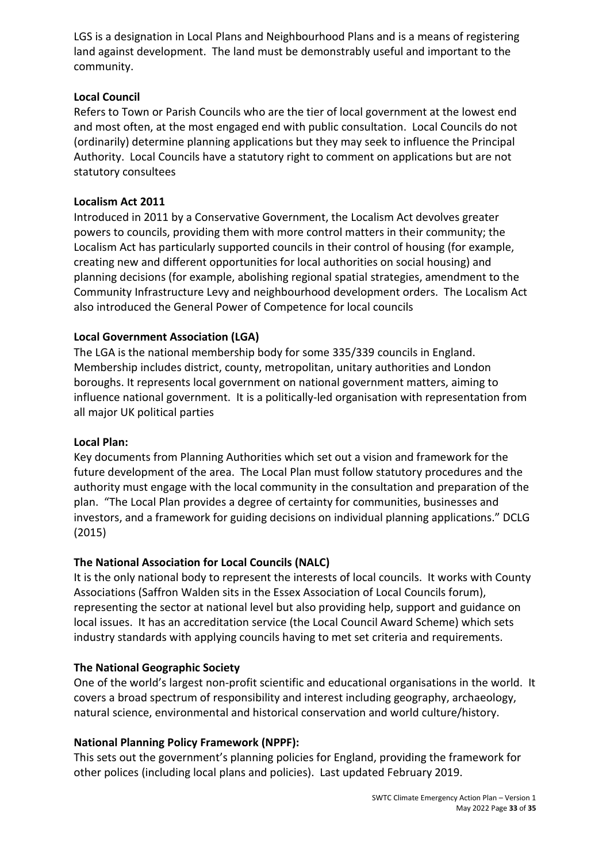LGS is a designation in Local Plans and Neighbourhood Plans and is a means of registering land against development. The land must be demonstrably useful and important to the community.

#### **Local Council**

Refers to Town or Parish Councils who are the tier of local government at the lowest end and most often, at the most engaged end with public consultation. Local Councils do not (ordinarily) determine planning applications but they may seek to influence the Principal Authority. Local Councils have a statutory right to comment on applications but are not statutory consultees

#### **Localism Act 2011**

Introduced in 2011 by a Conservative Government, the Localism Act devolves greater powers to councils, providing them with more control matters in their community; the Localism Act has particularly supported councils in their control of housing (for example, creating new and different opportunities for local authorities on social housing) and planning decisions (for example, abolishing regional spatial strategies, amendment to the Community Infrastructure Levy and neighbourhood development orders. The Localism Act also introduced the General Power of Competence for local councils

#### **Local Government Association (LGA)**

The LGA is the national membership body for some 335/339 councils in England. Membership includes district, county, metropolitan, unitary authorities and London boroughs. It represents local government on national government matters, aiming to influence national government. It is a politically-led organisation with representation from all major UK political parties

#### **Local Plan:**

Key documents from Planning Authorities which set out a vision and framework for the future development of the area. The Local Plan must follow statutory procedures and the authority must engage with the local community in the consultation and preparation of the plan. "The Local Plan provides a degree of certainty for communities, businesses and investors, and a framework for guiding decisions on individual planning applications." DCLG (2015)

#### **The National Association for Local Councils (NALC)**

It is the only national body to represent the interests of local councils. It works with County Associations (Saffron Walden sits in the Essex Association of Local Councils forum), representing the sector at national level but also providing help, support and guidance on local issues. It has an accreditation service (the Local Council Award Scheme) which sets industry standards with applying councils having to met set criteria and requirements.

#### **The National Geographic Society**

One of the world's largest non-profit scientific and educational organisations in the world. It covers a broad spectrum of responsibility and interest including geography, archaeology, natural science, environmental and historical conservation and world culture/history.

#### **National Planning Policy Framework (NPPF):**

This sets out the government's planning policies for England, providing the framework for other polices (including local plans and policies). Last updated February 2019.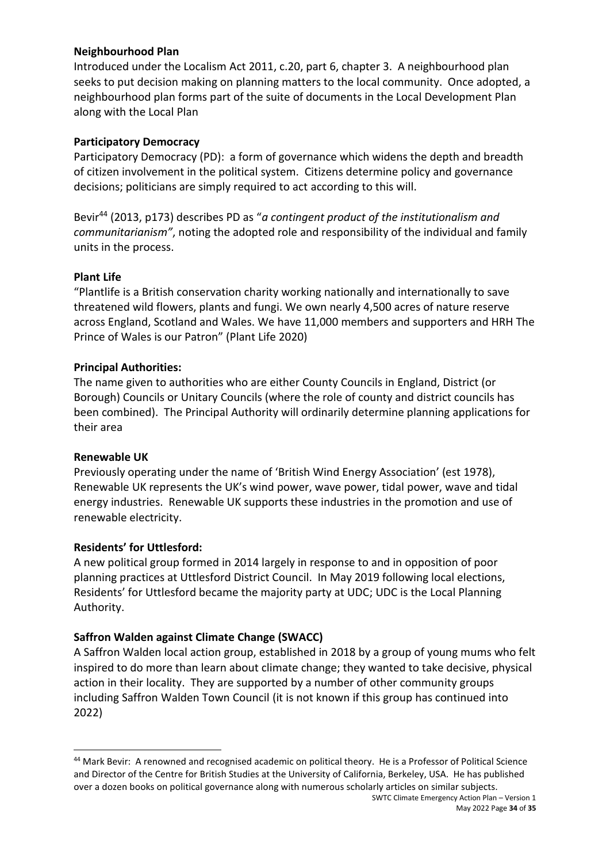#### **Neighbourhood Plan**

Introduced under the Localism Act 2011, c.20, part 6, chapter 3. A neighbourhood plan seeks to put decision making on planning matters to the local community. Once adopted, a neighbourhood plan forms part of the suite of documents in the Local Development Plan along with the Local Plan

#### **Participatory Democracy**

Participatory Democracy (PD): a form of governance which widens the depth and breadth of citizen involvement in the political system. Citizens determine policy and governance decisions; politicians are simply required to act according to this will.

Bevir<sup>44</sup> (2013, p173) describes PD as "*a contingent product of the institutionalism and communitarianism"*, noting the adopted role and responsibility of the individual and family units in the process.

#### **Plant Life**

"Plantlife is a British conservation charity working nationally and internationally to save threatened wild flowers, plants and fungi. We own nearly 4,500 acres of nature reserve across England, Scotland and Wales. We have 11,000 members and supporters and HRH The Prince of Wales is our Patron" (Plant Life 2020)

#### **Principal Authorities:**

The name given to authorities who are either County Councils in England, District (or Borough) Councils or Unitary Councils (where the role of county and district councils has been combined). The Principal Authority will ordinarily determine planning applications for their area

#### **Renewable UK**

Previously operating under the name of 'British Wind Energy Association' (est 1978), Renewable UK represents the UK's wind power, wave power, tidal power, wave and tidal energy industries. Renewable UK supports these industries in the promotion and use of renewable electricity.

#### **Residents' for Uttlesford:**

A new political group formed in 2014 largely in response to and in opposition of poor planning practices at Uttlesford District Council. In May 2019 following local elections, Residents' for Uttlesford became the majority party at UDC; UDC is the Local Planning Authority.

#### **Saffron Walden against Climate Change (SWACC)**

A Saffron Walden local action group, established in 2018 by a group of young mums who felt inspired to do more than learn about climate change; they wanted to take decisive, physical action in their locality. They are supported by a number of other community groups including Saffron Walden Town Council (it is not known if this group has continued into 2022)

SWTC Climate Emergency Action Plan – Version 1 <sup>44</sup> Mark Bevir: A renowned and recognised academic on political theory. He is a Professor of Political Science and Director of the Centre for British Studies at the University of California, Berkeley, USA. He has published over a dozen books on political governance along with numerous scholarly articles on similar subjects.